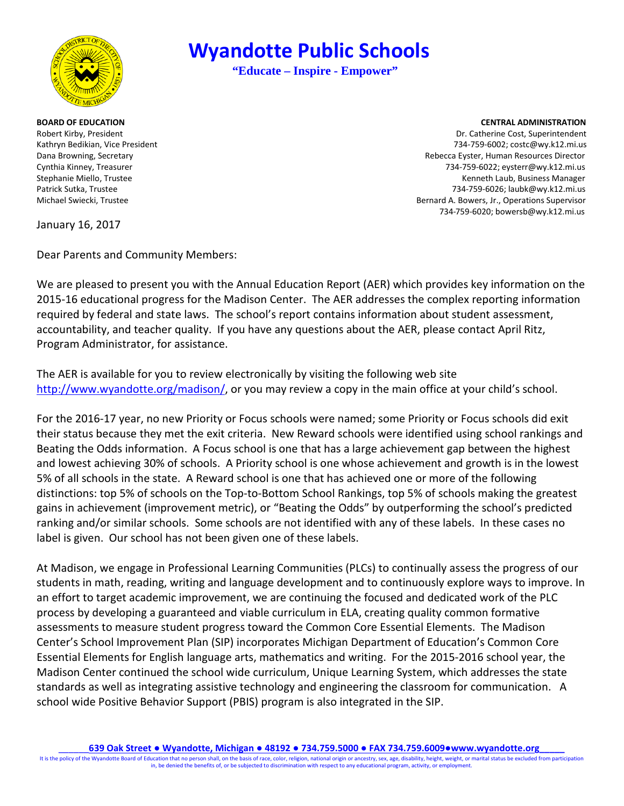

Patrick Sutka, Trustee

# **Wyandotte Public Schools**

**"Educate – Inspire - Empower"** 

#### **BOARD OF EDUCATION CENTRAL ADMINISTRATION**

Robert Kirby, President National Action of the United States of the United States of the Dr. Catherine Cost, Superintendent Kathryn Bedikian, Vice President 734-759-6002; costc@wy.k12.mi.us Dana Browning, Secretary Rebecca Eyster, Human Resources Director Cynthia Kinney, Treasurer 734-759-6022; eysterr@wy.k12.mi.us Stephanie Miello, Trustee Kenneth Laub, Business Manager 734-759-6026; laubk@wy.k12.mi.us Michael Swiecki, Trustee Bernard A. Bowers, Jr., Operations Supervisor 734-759-6020; bowersb@wy.k12.mi.us

January 16, 2017

Dear Parents and Community Members:

 accountability, and teacher quality. If you have any questions about the AER, please contact April Ritz, We are pleased to present you with the Annual Education Report (AER) which provides key information on the 2015-16 educational progress for the Madison Center. The AER addresses the complex reporting information required by federal and state laws. The school's report contains information about student assessment, Program Administrator, for assistance.

 The AER is available for you to review electronically by visiting the following web site [http://www.wyandotte.org/madison/,](http://www.wyandotte.org/madison/) or you may review a copy in the main office at your child's school.

 Beating the Odds information. A Focus school is one that has a large achievement gap between the highest and lowest achieving 30% of schools. A Priority school is one whose achievement and growth is in the lowest 5% of all schools in the state. A Reward school is one that has achieved one or more of the following distinctions: top 5% of schools on the Top-to-Bottom School Rankings, top 5% of schools making the greatest ranking and/or similar schools. Some schools are not identified with any of these labels. In these cases no label is given. Our school has not been given one of these labels. For the 2016-17 year, no new Priority or Focus schools were named; some Priority or Focus schools did exit their status because they met the exit criteria. New Reward schools were identified using school rankings and gains in achievement (improvement metric), or "Beating the Odds" by outperforming the school's predicted

 students in math, reading, writing and language development and to continuously explore ways to improve. In process by developing a guaranteed and viable curriculum in ELA, creating quality common formative assessments to measure student progress toward the Common Core Essential Elements. The Madison Madison Center continued the school wide curriculum, Unique Learning System, which addresses the state standards as well as integrating assistive technology and engineering the classroom for communication. A At Madison, we engage in Professional Learning Communities (PLCs) to continually assess the progress of our an effort to target academic improvement, we are continuing the focused and dedicated work of the PLC Center's School Improvement Plan (SIP) incorporates Michigan Department of Education's Common Core Essential Elements for English language arts, mathematics and writing. For the 2015-2016 school year, the school wide Positive Behavior Support (PBIS) program is also integrated in the SIP.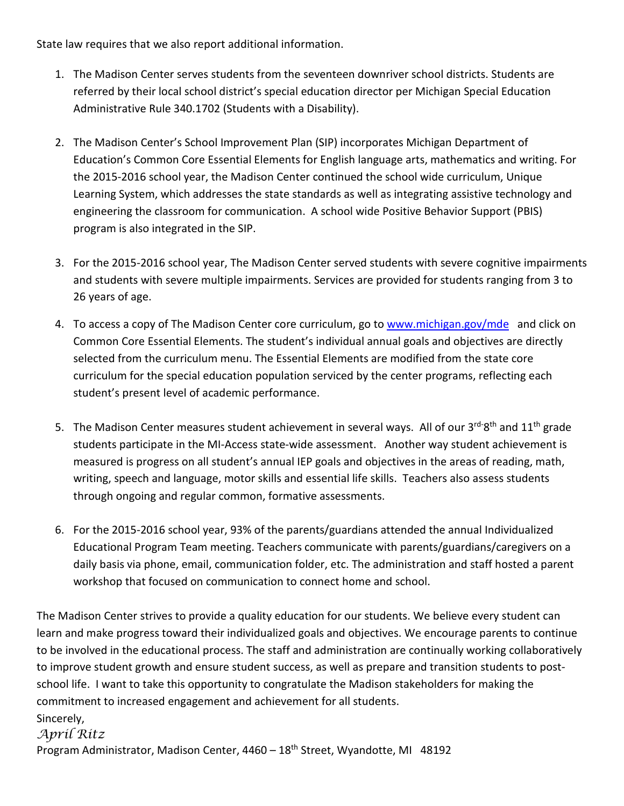State law requires that we also report additional information.

- 1. The Madison Center serves students from the seventeen downriver school districts. Students are referred by their local school district's special education director per Michigan Special Education Administrative Rule 340.1702 (Students with a Disability).
- Education's Common Core Essential Elements for English language arts, mathematics and writing. For 2. The Madison Center's School Improvement Plan (SIP) incorporates Michigan Department of the 2015-2016 school year, the Madison Center continued the school wide curriculum, Unique Learning System, which addresses the state standards as well as integrating assistive technology and engineering the classroom for communication. A school wide Positive Behavior Support (PBIS) program is also integrated in the SIP.
- and students with severe multiple impairments. Services are provided for students ranging from 3 to 3. For the 2015-2016 school year, The Madison Center served students with severe cognitive impairments 26 years of age.
- 4. To access a copy of The Madison Center core curriculum, go t[o www.michigan.gov/mde](http://www.michigan.gov/mde) and click on Common Core Essential Elements. The student's individual annual goals and objectives are directly selected from the curriculum menu. The Essential Elements are modified from the state core curriculum for the special education population serviced by the center programs, reflecting each student's present level of academic performance.
- 5. The Madison Center measures student achievement in several ways. All of our 3<sup>rd-</sup>8<sup>th</sup> and 11<sup>th</sup> grade measured is progress on all student's annual IEP goals and objectives in the areas of reading, math, through ongoing and regular common, formative assessments. students participate in the MI-Access state-wide assessment. Another way student achievement is writing, speech and language, motor skills and essential life skills. Teachers also assess students
- 6. For the 2015-2016 school year, 93% of the parents/guardians attended the annual Individualized Educational Program Team meeting. Teachers communicate with parents/guardians/caregivers on a daily basis via phone, email, communication folder, etc. The administration and staff hosted a parent workshop that focused on communication to connect home and school.

The Madison Center strives to provide a quality education for our students. We believe every student can learn and make progress toward their individualized goals and objectives. We encourage parents to continue to be involved in the educational process. The staff and administration are continually working collaboratively to improve student growth and ensure student success, as well as prepare and transition students to postschool life. I want to take this opportunity to congratulate the Madison stakeholders for making the commitment to increased engagement and achievement for all students.

```
Sincerely,
```
# *April Ritz*

Program Administrator, Madison Center, 4460 - 18<sup>th</sup> Street, Wyandotte, MI 48192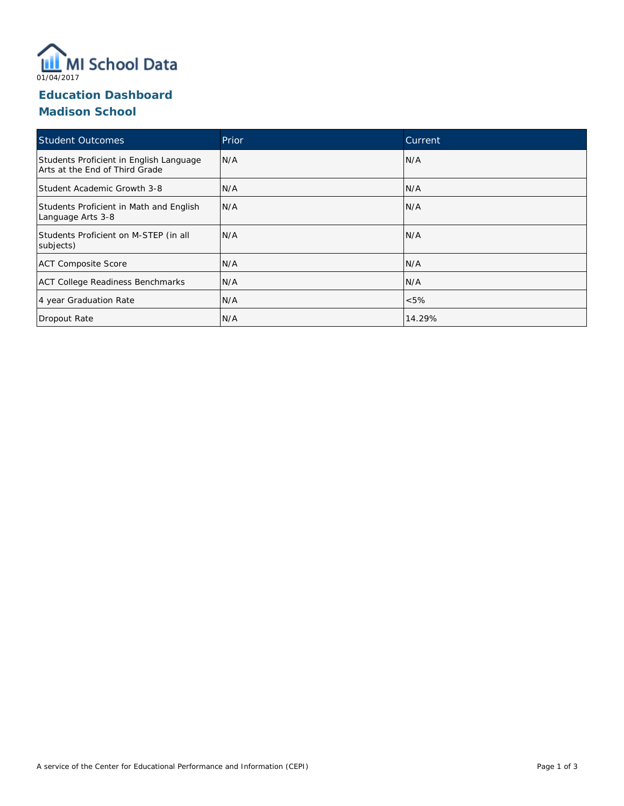

# **Education Dashboard Madison School**

| <b>Student Outcomes</b>                                                   | Prior | Current |
|---------------------------------------------------------------------------|-------|---------|
| Students Proficient in English Language<br>Arts at the End of Third Grade | N/A   | N/A     |
| Student Academic Growth 3-8                                               | N/A   | N/A     |
| Students Proficient in Math and English<br>Language Arts 3-8              | N/A   | N/A     |
| Students Proficient on M-STEP (in all<br>subjects)                        | N/A   | N/A     |
| <b>ACT Composite Score</b>                                                | N/A   | N/A     |
| <b>ACT College Readiness Benchmarks</b>                                   | N/A   | N/A     |
| 4 year Graduation Rate                                                    | N/A   | $<5\%$  |
| Dropout Rate                                                              | N/A   | 14.29%  |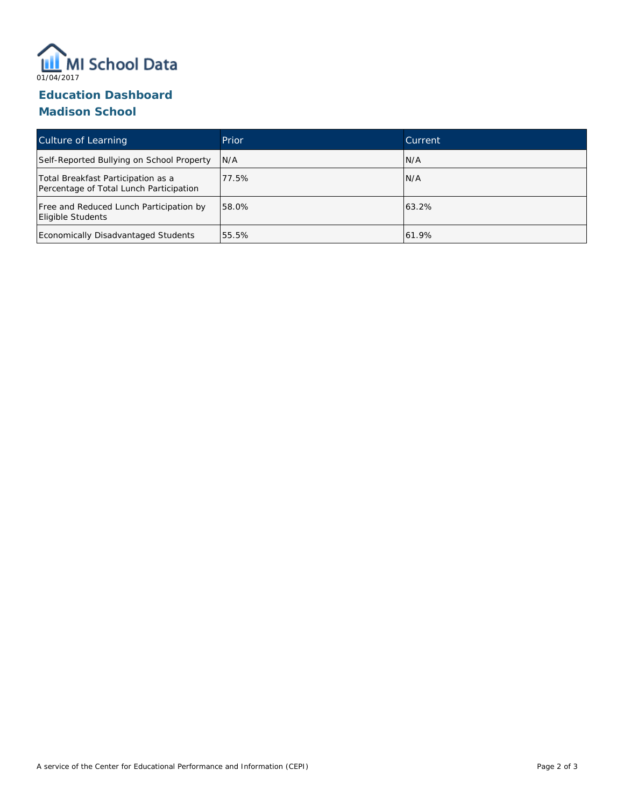

# **Education Dashboard Madison School**

| Culture of Learning                                                           | Prior | Current |
|-------------------------------------------------------------------------------|-------|---------|
| Self-Reported Bullying on School Property                                     | N/A   | N/A     |
| Total Breakfast Participation as a<br>Percentage of Total Lunch Participation | 77.5% | N/A     |
| Free and Reduced Lunch Participation by<br>Eligible Students                  | 58.0% | 63.2%   |
| Economically Disadvantaged Students                                           | 55.5% | 61.9%   |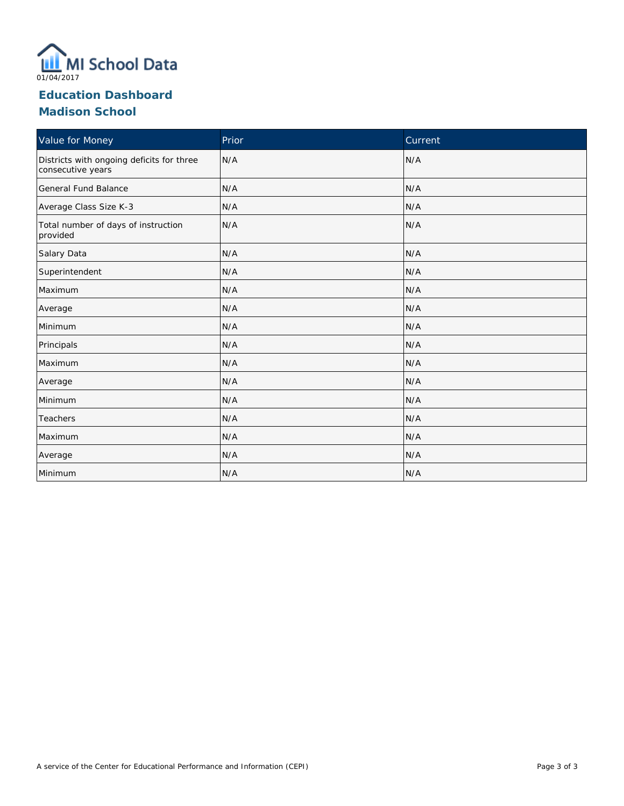

# **Education Dashboard Madison School**

| Value for Money                                                | Prior | Current |
|----------------------------------------------------------------|-------|---------|
| Districts with ongoing deficits for three<br>consecutive years | N/A   | N/A     |
| General Fund Balance                                           | N/A   | N/A     |
| Average Class Size K-3                                         | N/A   | N/A     |
| Total number of days of instruction<br>provided                | N/A   | N/A     |
| Salary Data                                                    | N/A   | N/A     |
| Superintendent                                                 | N/A   | N/A     |
| Maximum                                                        | N/A   | N/A     |
| Average                                                        | N/A   | N/A     |
| Minimum                                                        | N/A   | N/A     |
| Principals                                                     | N/A   | N/A     |
| Maximum                                                        | N/A   | N/A     |
| Average                                                        | N/A   | N/A     |
| Minimum                                                        | N/A   | N/A     |
| Teachers                                                       | N/A   | N/A     |
| Maximum                                                        | N/A   | N/A     |
| Average                                                        | N/A   | N/A     |
| Minimum                                                        | N/A   | N/A     |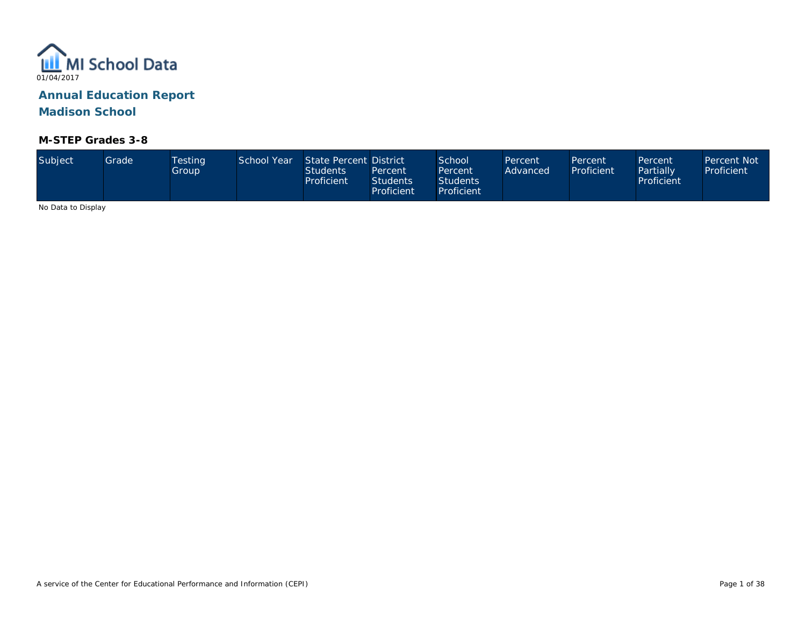

#### **M-STEP Grades 3-8**

| Subject | Grade | <b>Testing</b><br>Group | School Year | State Percent District<br><b>Students</b><br>Proficient | Percent<br>Students <sup>1</sup><br>Proficient | School <sup>1</sup><br>Percent<br><b>Students</b><br>Proficient | Percent<br>Advanced | Percent<br>Proficient | Percent<br>Partially<br>Proficient | Percent Not<br>Proficient |
|---------|-------|-------------------------|-------------|---------------------------------------------------------|------------------------------------------------|-----------------------------------------------------------------|---------------------|-----------------------|------------------------------------|---------------------------|
| .       |       |                         |             |                                                         |                                                |                                                                 |                     |                       |                                    |                           |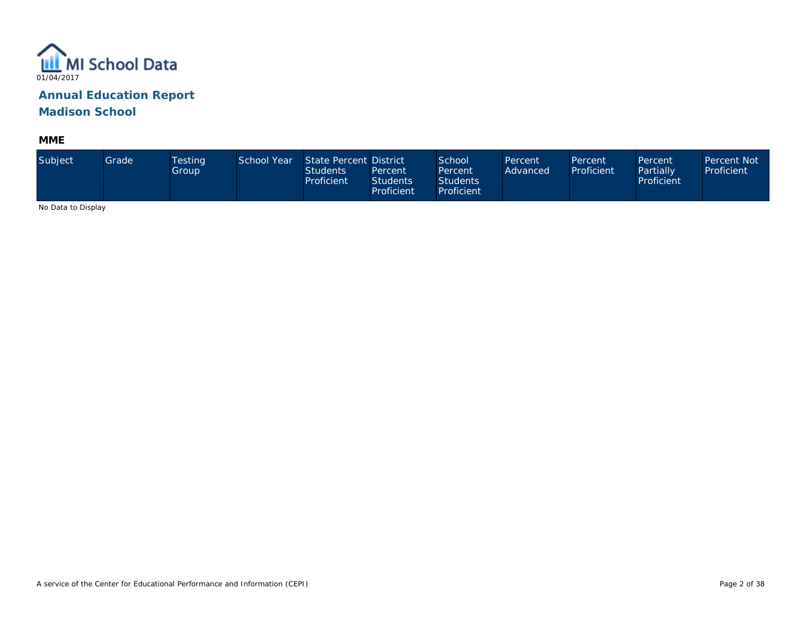

**MME** 

| Subject                                  | Grade | Testing<br>Group | School Year | State Percent District<br><b>Students</b><br>Proficient | Percent<br><b>Students</b><br>Proficient | School<br>Percent<br><b>Students</b><br>Proficient | Percent<br>Advanced | Percent<br>Proficient | Percent<br>Partially<br>Proficient | Percent Not<br>Proficient |
|------------------------------------------|-------|------------------|-------------|---------------------------------------------------------|------------------------------------------|----------------------------------------------------|---------------------|-----------------------|------------------------------------|---------------------------|
| $\cdots$ $\sim$ $\cdots$ $\sim$ $\cdots$ |       |                  |             |                                                         |                                          |                                                    |                     |                       |                                    |                           |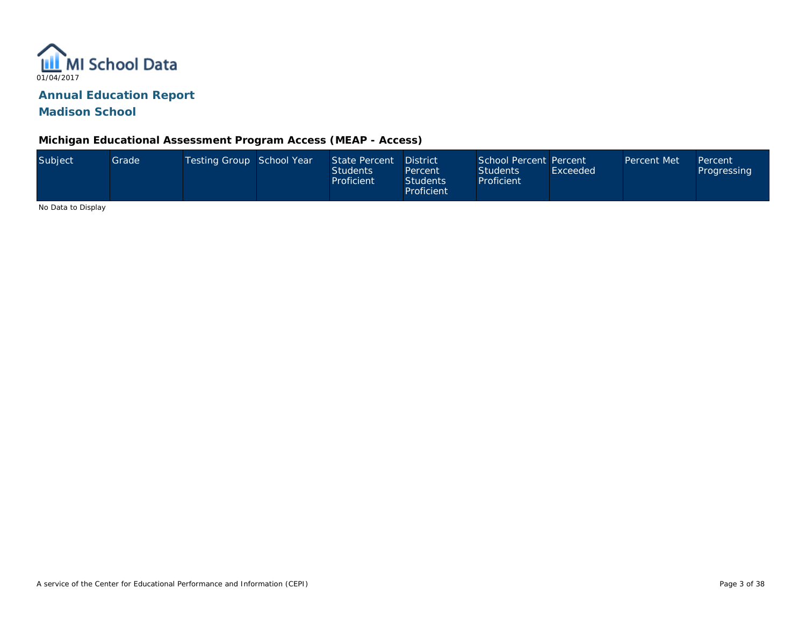

**Michigan Educational Assessment Program Access (MEAP - Access)** 

| Subject | Grade | Testing Group School Year | State Percent<br><b>Students</b><br>Proficient | <b>District</b><br>Percent<br><b>Students</b><br>Proficient | School Percent Percent<br><b>Students</b><br>Proficient | Exceeded | <b>Percent Met</b> | <b>Percent</b><br>Progressing |
|---------|-------|---------------------------|------------------------------------------------|-------------------------------------------------------------|---------------------------------------------------------|----------|--------------------|-------------------------------|
| .       |       |                           |                                                |                                                             |                                                         |          |                    |                               |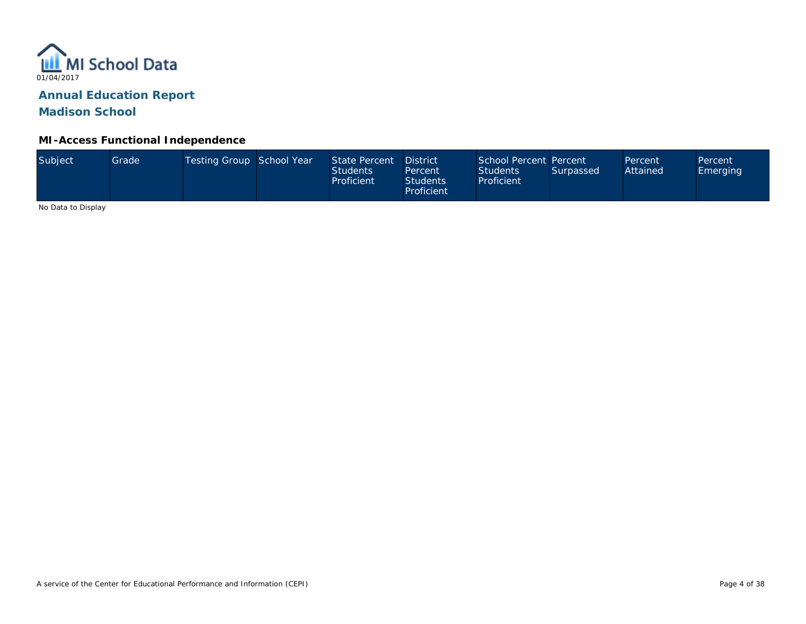

#### **MI-Access Functional Independence**

| Subject<br>Testing Group School Year<br>State Percent<br>Grade <sup>1</sup><br>Students<br>Proficient | <b>District</b><br>Percent<br><b>Students</b><br>Proficient | School Percent Percent<br><b>Students</b><br>Proficient | Surpassed | Percent<br>Attained | Percent<br>Emerging |
|-------------------------------------------------------------------------------------------------------|-------------------------------------------------------------|---------------------------------------------------------|-----------|---------------------|---------------------|
|-------------------------------------------------------------------------------------------------------|-------------------------------------------------------------|---------------------------------------------------------|-----------|---------------------|---------------------|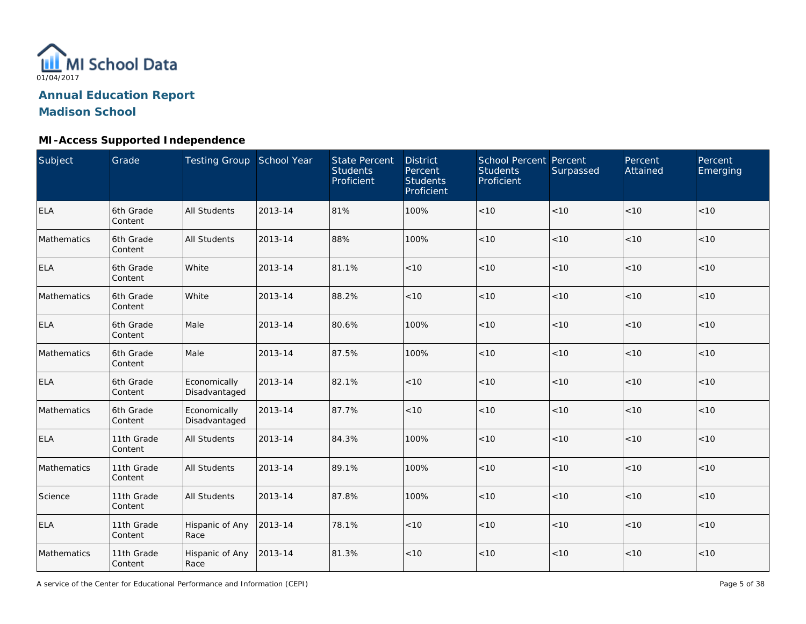

## **MI-Access Supported Independence**

| Subject     | Grade                 | Testing Group School Year     |         | <b>State Percent</b><br><b>Students</b><br>Proficient | <b>District</b><br>Percent<br><b>Students</b><br>Proficient | <b>School Percent Percent</b><br><b>Students</b><br>Proficient | Surpassed | Percent<br>Attained | Percent<br>Emerging |
|-------------|-----------------------|-------------------------------|---------|-------------------------------------------------------|-------------------------------------------------------------|----------------------------------------------------------------|-----------|---------------------|---------------------|
| <b>ELA</b>  | 6th Grade<br>Content  | <b>All Students</b>           | 2013-14 | 81%                                                   | 100%                                                        | $<10$                                                          | < 10      | < 10                | < 10                |
| Mathematics | 6th Grade<br>Content  | <b>All Students</b>           | 2013-14 | 88%                                                   | 100%                                                        | < 10                                                           | < 10      | < 10                | < 10                |
| <b>ELA</b>  | 6th Grade<br>Content  | White                         | 2013-14 | 81.1%                                                 | < 10                                                        | < 10                                                           | < 10      | < 10                | < 10                |
| Mathematics | 6th Grade<br>Content  | White                         | 2013-14 | 88.2%                                                 | $<10$                                                       | $<10$                                                          | < 10      | < 10                | < 10                |
| ELA         | 6th Grade<br>Content  | Male                          | 2013-14 | 80.6%                                                 | 100%                                                        | < 10                                                           | < 10      | < 10                | < 10                |
| Mathematics | 6th Grade<br>Content  | Male                          | 2013-14 | 87.5%                                                 | 100%                                                        | $<10$                                                          | < 10      | < 10                | < 10                |
| <b>ELA</b>  | 6th Grade<br>Content  | Economically<br>Disadvantaged | 2013-14 | 82.1%                                                 | < 10                                                        | < 10                                                           | < 10      | < 10                | < 10                |
| Mathematics | 6th Grade<br>Content  | Economically<br>Disadvantaged | 2013-14 | 87.7%                                                 | < 10                                                        | < 10                                                           | < 10      | < 10                | < 10                |
| <b>ELA</b>  | 11th Grade<br>Content | <b>All Students</b>           | 2013-14 | 84.3%                                                 | 100%                                                        | $<10$                                                          | < 10      | < 10                | < 10                |
| Mathematics | 11th Grade<br>Content | <b>All Students</b>           | 2013-14 | 89.1%                                                 | 100%                                                        | $<10$                                                          | < 10      | < 10                | < 10                |
| Science     | 11th Grade<br>Content | <b>All Students</b>           | 2013-14 | 87.8%                                                 | 100%                                                        | $<10$                                                          | < 10      | < 10                | < 10                |
| <b>ELA</b>  | 11th Grade<br>Content | Hispanic of Any<br>Race       | 2013-14 | 78.1%                                                 | $<10$                                                       | $<10$                                                          | < 10      | < 10                | < 10                |
| Mathematics | 11th Grade<br>Content | Hispanic of Any<br>Race       | 2013-14 | 81.3%                                                 | $<10$                                                       | < 10                                                           | < 10      | < 10                | < 10                |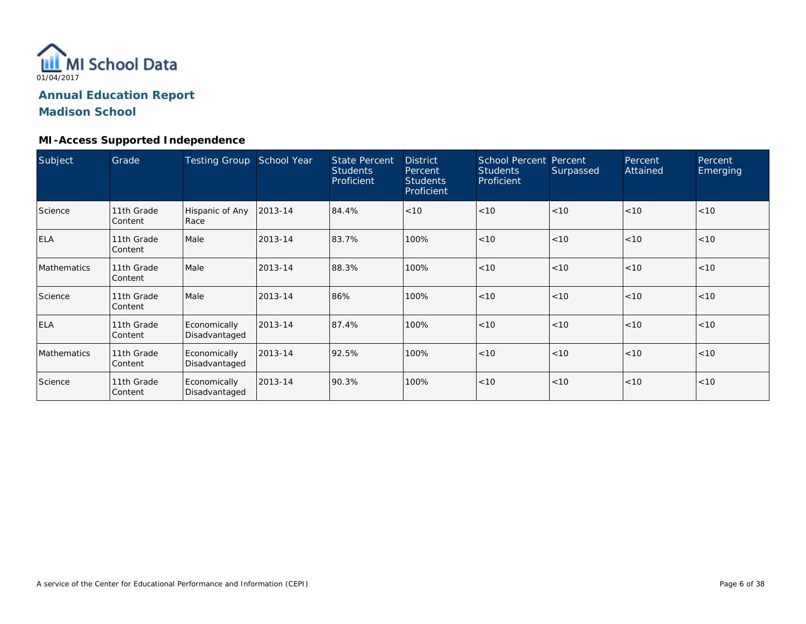

#### **MI-Access Supported Independence**

| Subject     | Grade                 | <b>Testing Group</b>          | School Year | <b>State Percent</b><br><b>Students</b><br>Proficient | <b>District</b><br>Percent<br><b>Students</b><br>Proficient | <b>School Percent Percent</b><br><b>Students</b><br>Proficient | Surpassed | Percent<br>Attained | Percent<br>Emerging |
|-------------|-----------------------|-------------------------------|-------------|-------------------------------------------------------|-------------------------------------------------------------|----------------------------------------------------------------|-----------|---------------------|---------------------|
| Science     | 11th Grade<br>Content | Hispanic of Any<br>Race       | 2013-14     | 84.4%                                                 | < 10                                                        | < 10                                                           | < 10      | < 10                | < 10                |
| <b>ELA</b>  | 11th Grade<br>Content | Male                          | 2013-14     | 83.7%                                                 | 100%                                                        | < 10                                                           | < 10      | < 10                | < 10                |
| Mathematics | 11th Grade<br>Content | Male                          | 2013-14     | 88.3%                                                 | 100%                                                        | < 10                                                           | < 10      | < 10                | < 10                |
| Science     | 11th Grade<br>Content | Male                          | 2013-14     | 86%                                                   | 100%                                                        | < 10                                                           | < 10      | < 10                | < 10                |
| ELA         | 11th Grade<br>Content | Economically<br>Disadvantaged | 2013-14     | 87.4%                                                 | 100%                                                        | < 10                                                           | < 10      | < 10                | < 10                |
| Mathematics | 11th Grade<br>Content | Economically<br>Disadvantaged | 2013-14     | 92.5%                                                 | 100%                                                        | < 10                                                           | < 10      | < 10                | < 10                |
| Science     | 11th Grade<br>Content | Economically<br>Disadvantaged | 2013-14     | 90.3%                                                 | 100%                                                        | < 10                                                           | < 10      | < 10                | < 10                |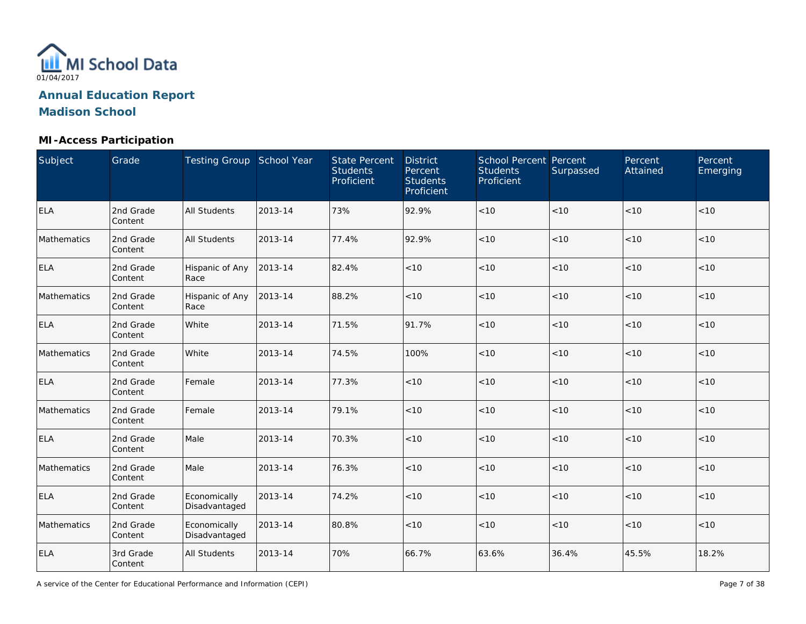

## **MI-Access Participation**

| Subject     | Grade                | Testing Group School Year     |         | <b>State Percent</b><br><b>Students</b><br>Proficient | <b>District</b><br>Percent<br><b>Students</b><br>Proficient | School Percent Percent<br><b>Students</b><br>Proficient | Surpassed | Percent<br>Attained | Percent<br>Emerging |
|-------------|----------------------|-------------------------------|---------|-------------------------------------------------------|-------------------------------------------------------------|---------------------------------------------------------|-----------|---------------------|---------------------|
| <b>ELA</b>  | 2nd Grade<br>Content | <b>All Students</b>           | 2013-14 | 73%                                                   | 92.9%                                                       | $<10$                                                   | < 10      | < 10                | < 10                |
| Mathematics | 2nd Grade<br>Content | <b>All Students</b>           | 2013-14 | 77.4%                                                 | 92.9%                                                       | < 10                                                    | < 10      | < 10                | < 10                |
| <b>ELA</b>  | 2nd Grade<br>Content | Hispanic of Any<br>Race       | 2013-14 | 82.4%                                                 | < 10                                                        | < 10                                                    | < 10      | < 10                | < 10                |
| Mathematics | 2nd Grade<br>Content | Hispanic of Any<br>Race       | 2013-14 | 88.2%                                                 | < 10                                                        | < 10                                                    | < 10      | < 10                | < 10                |
| <b>ELA</b>  | 2nd Grade<br>Content | White                         | 2013-14 | 71.5%                                                 | 91.7%                                                       | $<10$                                                   | < 10      | < 10                | < 10                |
| Mathematics | 2nd Grade<br>Content | White                         | 2013-14 | 74.5%                                                 | 100%                                                        | $<10$                                                   | < 10      | < 10                | < 10                |
| <b>ELA</b>  | 2nd Grade<br>Content | Female                        | 2013-14 | 77.3%                                                 | < 10                                                        | < 10                                                    | < 10      | < 10                | < 10                |
| Mathematics | 2nd Grade<br>Content | Female                        | 2013-14 | 79.1%                                                 | < 10                                                        | < 10                                                    | < 10      | < 10                | < 10                |
| <b>ELA</b>  | 2nd Grade<br>Content | Male                          | 2013-14 | 70.3%                                                 | < 10                                                        | $<10$                                                   | < 10      | < 10                | < 10                |
| Mathematics | 2nd Grade<br>Content | Male                          | 2013-14 | 76.3%                                                 | < 10                                                        | $<10$                                                   | < 10      | < 10                | < 10                |
| <b>ELA</b>  | 2nd Grade<br>Content | Economically<br>Disadvantaged | 2013-14 | 74.2%                                                 | < 10                                                        | $<10$                                                   | < 10      | < 10                | < 10                |
| Mathematics | 2nd Grade<br>Content | Economically<br>Disadvantaged | 2013-14 | 80.8%                                                 | < 10                                                        | $<10$                                                   | < 10      | < 10                | < 10                |
| <b>ELA</b>  | 3rd Grade<br>Content | All Students                  | 2013-14 | 70%                                                   | 66.7%                                                       | 63.6%                                                   | 36.4%     | 45.5%               | 18.2%               |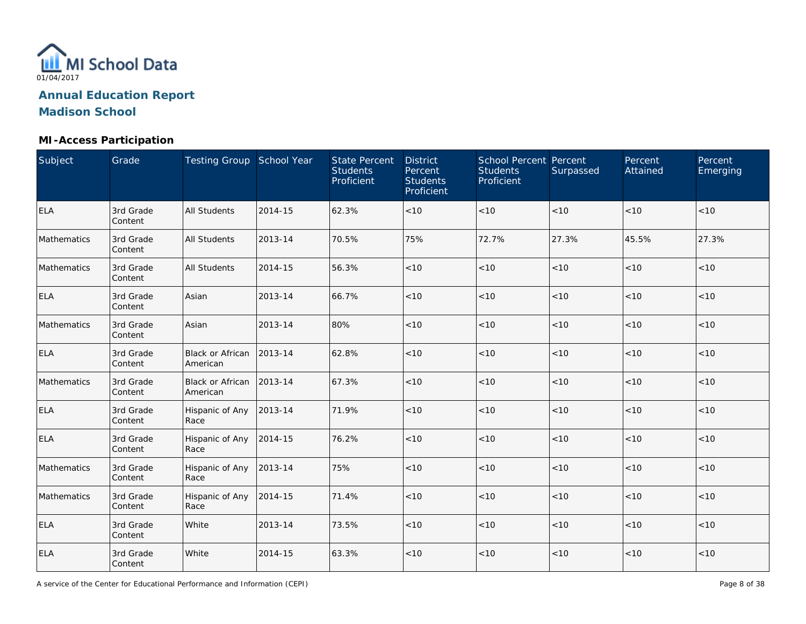

## **MI-Access Participation**

| Subject     | Grade                | Testing Group School Year           |         | <b>State Percent</b><br><b>Students</b><br>Proficient | <b>District</b><br>Percent<br><b>Students</b><br>Proficient | School Percent Percent<br><b>Students</b><br>Proficient | Surpassed | Percent<br>Attained | Percent<br>Emerging |
|-------------|----------------------|-------------------------------------|---------|-------------------------------------------------------|-------------------------------------------------------------|---------------------------------------------------------|-----------|---------------------|---------------------|
| <b>ELA</b>  | 3rd Grade<br>Content | All Students                        | 2014-15 | 62.3%                                                 | $<10$                                                       | $<10$                                                   | < 10      | < 10                | < 10                |
| Mathematics | 3rd Grade<br>Content | <b>All Students</b>                 | 2013-14 | 70.5%                                                 | 75%                                                         | 72.7%                                                   | 27.3%     | 45.5%               | 27.3%               |
| Mathematics | 3rd Grade<br>Content | All Students                        | 2014-15 | 56.3%                                                 | $<10$                                                       | < 10                                                    | $<10$     | < 10                | < 10                |
| <b>ELA</b>  | 3rd Grade<br>Content | Asian                               | 2013-14 | 66.7%                                                 | < 10                                                        | $<10$                                                   | < 10      | <10                 | $<10$               |
| Mathematics | 3rd Grade<br>Content | Asian                               | 2013-14 | 80%                                                   | < 10                                                        | < 10                                                    | < 10      | < 10                | < 10                |
| <b>ELA</b>  | 3rd Grade<br>Content | <b>Black or African</b><br>American | 2013-14 | 62.8%                                                 | < 10                                                        | < 10                                                    | < 10      | < 10                | < 10                |
| Mathematics | 3rd Grade<br>Content | <b>Black or African</b><br>American | 2013-14 | 67.3%                                                 | < 10                                                        | < 10                                                    | < 10      | < 10                | < 10                |
| <b>ELA</b>  | 3rd Grade<br>Content | Hispanic of Any<br>Race             | 2013-14 | 71.9%                                                 | < 10                                                        | $<10$                                                   | < 10      | < 10                | < 10                |
| <b>ELA</b>  | 3rd Grade<br>Content | Hispanic of Any<br>Race             | 2014-15 | 76.2%                                                 | < 10                                                        | < 10                                                    | < 10      | < 10                | < 10                |
| Mathematics | 3rd Grade<br>Content | Hispanic of Any<br>Race             | 2013-14 | 75%                                                   | < 10                                                        | $<10$                                                   | < 10      | < 10                | < 10                |
| Mathematics | 3rd Grade<br>Content | Hispanic of Any<br>Race             | 2014-15 | 71.4%                                                 | < 10                                                        | < 10                                                    | < 10      | < 10                | < 10                |
| <b>ELA</b>  | 3rd Grade<br>Content | White                               | 2013-14 | 73.5%                                                 | $<10$                                                       | $<10$                                                   | < 10      | < 10                | < 10                |
| <b>ELA</b>  | 3rd Grade<br>Content | White                               | 2014-15 | 63.3%                                                 | $<10$                                                       | $<10$                                                   | $<10$     | < 10                | < 10                |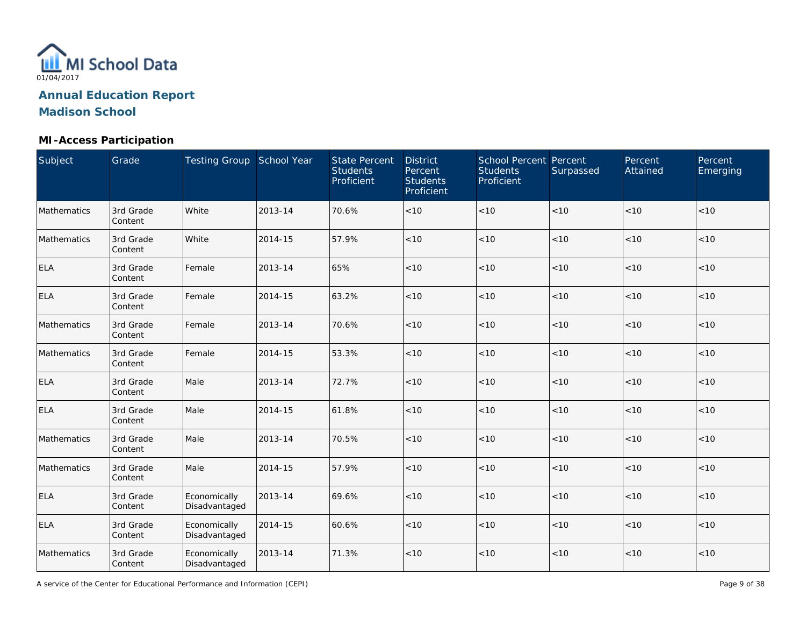

## **MI-Access Participation**

| Subject     | Grade                | Testing Group School Year     |         | <b>State Percent</b><br><b>Students</b><br>Proficient | <b>District</b><br>Percent<br><b>Students</b><br>Proficient | <b>School Percent Percent</b><br><b>Students</b><br>Proficient | Surpassed | Percent<br>Attained | Percent<br>Emerging |
|-------------|----------------------|-------------------------------|---------|-------------------------------------------------------|-------------------------------------------------------------|----------------------------------------------------------------|-----------|---------------------|---------------------|
| Mathematics | 3rd Grade<br>Content | White                         | 2013-14 | 70.6%                                                 | $<10$                                                       | $<10$                                                          | < 10      | < 10                | < 10                |
| Mathematics | 3rd Grade<br>Content | White                         | 2014-15 | 57.9%                                                 | $<10$                                                       | < 10                                                           | $<10$     | < 10                | < 10                |
| <b>ELA</b>  | 3rd Grade<br>Content | Female                        | 2013-14 | 65%                                                   | < 10                                                        | $<10$                                                          | $<10$     | < 10                | < 10                |
| <b>ELA</b>  | 3rd Grade<br>Content | Female                        | 2014-15 | 63.2%                                                 | < 10                                                        | $<10$                                                          | < 10      | $<10$               | < 10                |
| Mathematics | 3rd Grade<br>Content | Female                        | 2013-14 | 70.6%                                                 | <10                                                         | $<10$                                                          | < 10      | <10                 | < 10                |
| Mathematics | 3rd Grade<br>Content | Female                        | 2014-15 | 53.3%                                                 | < 10                                                        | $<10$                                                          | < 10      | < 10                | < 10                |
| <b>ELA</b>  | 3rd Grade<br>Content | Male                          | 2013-14 | 72.7%                                                 | < 10                                                        | < 10                                                           | < 10      | < 10                | < 10                |
| <b>ELA</b>  | 3rd Grade<br>Content | Male                          | 2014-15 | 61.8%                                                 | < 10                                                        | $<10$                                                          | < 10      | < 10                | < 10                |
| Mathematics | 3rd Grade<br>Content | Male                          | 2013-14 | 70.5%                                                 | < 10                                                        | <10                                                            | < 10      | < 10                | < 10                |
| Mathematics | 3rd Grade<br>Content | Male                          | 2014-15 | 57.9%                                                 | < 10                                                        | < 10                                                           | < 10      | < 10                | < 10                |
| <b>ELA</b>  | 3rd Grade<br>Content | Economically<br>Disadvantaged | 2013-14 | 69.6%                                                 | $<10$                                                       | < 10                                                           | < 10      | < 10                | < 10                |
| <b>ELA</b>  | 3rd Grade<br>Content | Economically<br>Disadvantaged | 2014-15 | 60.6%                                                 | $<10$                                                       | $<10$                                                          | < 10      | < 10                | < 10                |
| Mathematics | 3rd Grade<br>Content | Economically<br>Disadvantaged | 2013-14 | 71.3%                                                 | $<10$                                                       | $<10$                                                          | $<10$     | $<10$               | < 10                |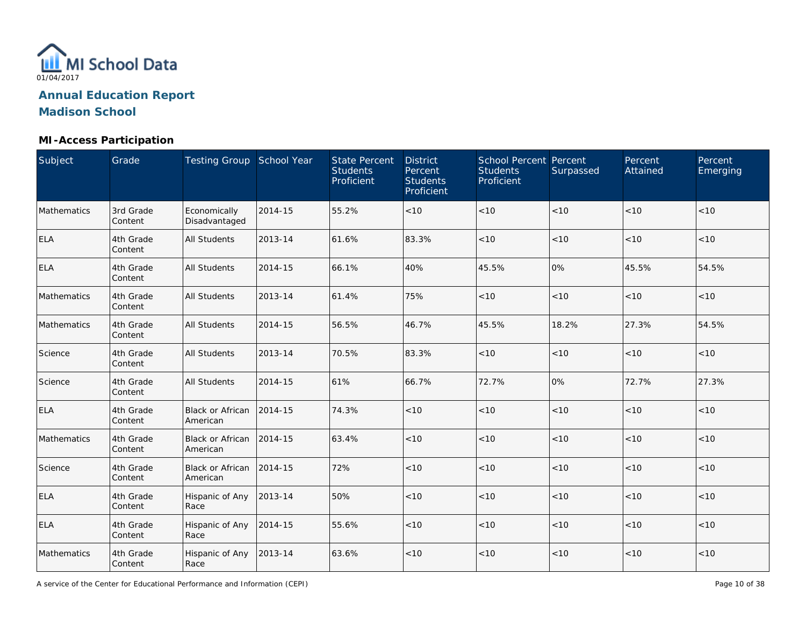

## **MI-Access Participation**

| Subject     | Grade                | Testing Group School Year           |         | <b>State Percent</b><br><b>Students</b><br>Proficient | <b>District</b><br>Percent<br><b>Students</b><br>Proficient | <b>School Percent Percent</b><br><b>Students</b><br>Proficient | Surpassed | Percent<br>Attained | Percent<br>Emerging |
|-------------|----------------------|-------------------------------------|---------|-------------------------------------------------------|-------------------------------------------------------------|----------------------------------------------------------------|-----------|---------------------|---------------------|
| Mathematics | 3rd Grade<br>Content | Economically<br>Disadvantaged       | 2014-15 | 55.2%                                                 | < 10                                                        | $<10$                                                          | < 10      | < 10                | < 10                |
| <b>ELA</b>  | 4th Grade<br>Content | All Students                        | 2013-14 | 61.6%                                                 | 83.3%                                                       | < 10                                                           | < 10      | < 10                | <10                 |
| <b>ELA</b>  | 4th Grade<br>Content | <b>All Students</b>                 | 2014-15 | 66.1%                                                 | 40%                                                         | 45.5%                                                          | 0%        | 45.5%               | 54.5%               |
| Mathematics | 4th Grade<br>Content | All Students                        | 2013-14 | 61.4%                                                 | 75%                                                         | $<10$                                                          | < 10      | $<10$               | < 10                |
| Mathematics | 4th Grade<br>Content | <b>All Students</b>                 | 2014-15 | 56.5%                                                 | 46.7%                                                       | 45.5%                                                          | 18.2%     | 27.3%               | 54.5%               |
| Science     | 4th Grade<br>Content | <b>All Students</b>                 | 2013-14 | 70.5%                                                 | 83.3%                                                       | < 10                                                           | < 10      | < 10                | < 10                |
| Science     | 4th Grade<br>Content | <b>All Students</b>                 | 2014-15 | 61%                                                   | 66.7%                                                       | 72.7%                                                          | 0%        | 72.7%               | 27.3%               |
| <b>ELA</b>  | 4th Grade<br>Content | <b>Black or African</b><br>American | 2014-15 | 74.3%                                                 | < 10                                                        | $<10$                                                          | < 10      | < 10                | < 10                |
| Mathematics | 4th Grade<br>Content | <b>Black or African</b><br>American | 2014-15 | 63.4%                                                 | < 10                                                        | $<10$                                                          | < 10      | < 10                | < 10                |
| Science     | 4th Grade<br>Content | <b>Black or African</b><br>American | 2014-15 | 72%                                                   | < 10                                                        | < 10                                                           | < 10      | < 10                | < 10                |
| <b>ELA</b>  | 4th Grade<br>Content | Hispanic of Any<br>Race             | 2013-14 | 50%                                                   | < 10                                                        | < 10                                                           | < 10      | < 10                | < 10                |
| <b>ELA</b>  | 4th Grade<br>Content | Hispanic of Any<br>Race             | 2014-15 | 55.6%                                                 | < 10                                                        | < 10                                                           | < 10      | < 10                | < 10                |
| Mathematics | 4th Grade<br>Content | Hispanic of Any<br>Race             | 2013-14 | 63.6%                                                 | $<10$                                                       | < 10                                                           | $<10$     | $<10$               | $<10$               |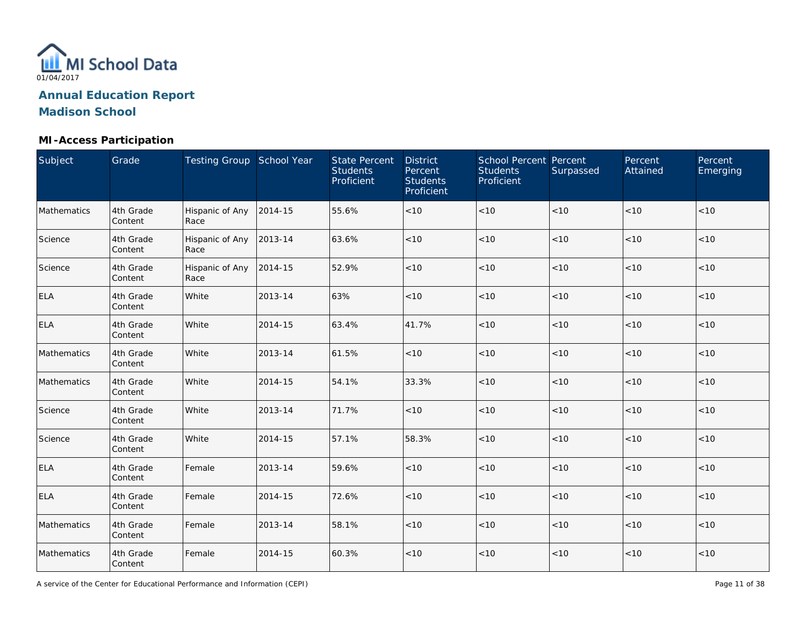

## **MI-Access Participation**

| Subject     | Grade                | Testing Group School Year |         | <b>State Percent</b><br><b>Students</b><br>Proficient | <b>District</b><br>Percent<br><b>Students</b><br>Proficient | School Percent Percent<br><b>Students</b><br>Proficient | Surpassed | Percent<br>Attained | Percent<br>Emerging |
|-------------|----------------------|---------------------------|---------|-------------------------------------------------------|-------------------------------------------------------------|---------------------------------------------------------|-----------|---------------------|---------------------|
| Mathematics | 4th Grade<br>Content | Hispanic of Any<br>Race   | 2014-15 | 55.6%                                                 | $<10$                                                       | $<10$                                                   | < 10      | < 10                | < 10                |
| Science     | 4th Grade<br>Content | Hispanic of Any<br>Race   | 2013-14 | 63.6%                                                 | < 10                                                        | $<10$                                                   | < 10      | < 10                | < 10                |
| Science     | 4th Grade<br>Content | Hispanic of Any<br>Race   | 2014-15 | 52.9%                                                 | $<10$                                                       | $<10$                                                   | $<10$     | < 10                | < 10                |
| ELA         | 4th Grade<br>Content | White                     | 2013-14 | 63%                                                   | < 10                                                        | $<10$                                                   | < 10      | <10                 | $<10$               |
| <b>ELA</b>  | 4th Grade<br>Content | White                     | 2014-15 | 63.4%                                                 | 41.7%                                                       | < 10                                                    | < 10      | < 10                | < 10                |
| Mathematics | 4th Grade<br>Content | White                     | 2013-14 | 61.5%                                                 | < 10                                                        | < 10                                                    | < 10      | < 10                | < 10                |
| Mathematics | 4th Grade<br>Content | White                     | 2014-15 | 54.1%                                                 | 33.3%                                                       | < 10                                                    | < 10      | < 10                | < 10                |
| Science     | 4th Grade<br>Content | White                     | 2013-14 | 71.7%                                                 | < 10                                                        | $<10$                                                   | < 10      | < 10                | < 10                |
| Science     | 4th Grade<br>Content | White                     | 2014-15 | 57.1%                                                 | 58.3%                                                       | $<10$                                                   | < 10      | < 10                | < 10                |
| <b>ELA</b>  | 4th Grade<br>Content | Female                    | 2013-14 | 59.6%                                                 | < 10                                                        | $<10$                                                   | < 10      | < 10                | < 10                |
| <b>ELA</b>  | 4th Grade<br>Content | Female                    | 2014-15 | 72.6%                                                 | < 10                                                        | $<10$                                                   | < 10      | < 10                | < 10                |
| Mathematics | 4th Grade<br>Content | Female                    | 2013-14 | 58.1%                                                 | $<10$                                                       | $<10$                                                   | < 10      | < 10                | < 10                |
| Mathematics | 4th Grade<br>Content | Female                    | 2014-15 | 60.3%                                                 | $<10$                                                       | $<10$                                                   | $<10$     | < 10                | < 10                |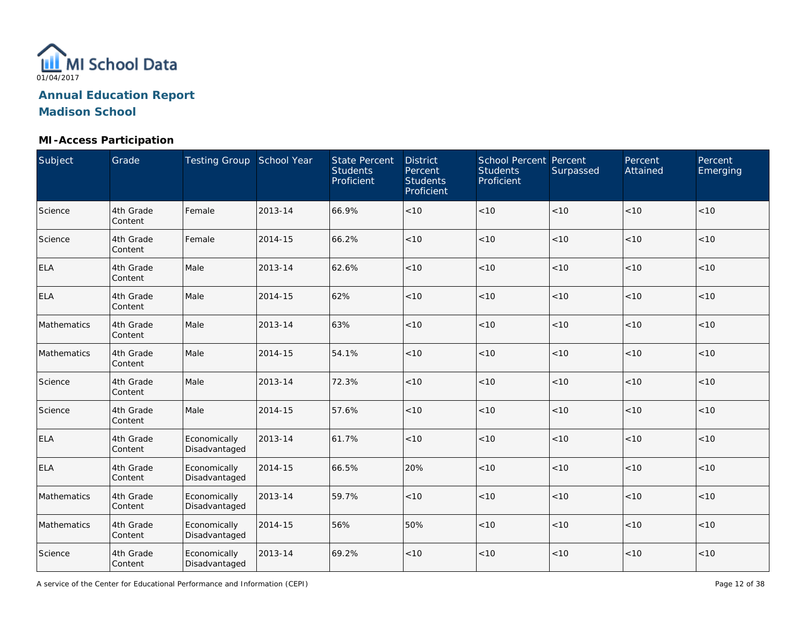

## **MI-Access Participation**

| Subject     | Grade                | Testing Group School Year     |         | <b>State Percent</b><br><b>Students</b><br>Proficient | <b>District</b><br>Percent<br><b>Students</b><br>Proficient | <b>School Percent Percent</b><br><b>Students</b><br>Proficient | Surpassed | Percent<br>Attained | Percent<br>Emerging |
|-------------|----------------------|-------------------------------|---------|-------------------------------------------------------|-------------------------------------------------------------|----------------------------------------------------------------|-----------|---------------------|---------------------|
| Science     | 4th Grade<br>Content | Female                        | 2013-14 | 66.9%                                                 | < 10                                                        | $<10$                                                          | < 10      | < 10                | < 10                |
| Science     | 4th Grade<br>Content | Female                        | 2014-15 | 66.2%                                                 | < 10                                                        | < 10                                                           | < 10      | < 10                | < 10                |
| <b>ELA</b>  | 4th Grade<br>Content | Male                          | 2013-14 | 62.6%                                                 | < 10                                                        | < 10                                                           | < 10      | < 10                | < 10                |
| <b>ELA</b>  | 4th Grade<br>Content | Male                          | 2014-15 | 62%                                                   | < 10                                                        | < 10                                                           | < 10      | < 10                | < 10                |
| Mathematics | 4th Grade<br>Content | Male                          | 2013-14 | 63%                                                   | < 10                                                        | < 10                                                           | $<10$     | < 10                | < 10                |
| Mathematics | 4th Grade<br>Content | Male                          | 2014-15 | 54.1%                                                 | < 10                                                        | $<10$                                                          | $<10$     | < 10                | < 10                |
| Science     | 4th Grade<br>Content | Male                          | 2013-14 | 72.3%                                                 | < 10                                                        | < 10                                                           | < 10      | < 10                | < 10                |
| Science     | 4th Grade<br>Content | Male                          | 2014-15 | 57.6%                                                 | < 10                                                        | < 10                                                           | < 10      | < 10                | < 10                |
| <b>ELA</b>  | 4th Grade<br>Content | Economically<br>Disadvantaged | 2013-14 | 61.7%                                                 | < 10                                                        | $<10$                                                          | $<10$     | $<10$               | < 10                |
| <b>ELA</b>  | 4th Grade<br>Content | Economically<br>Disadvantaged | 2014-15 | 66.5%                                                 | 20%                                                         | $<10$                                                          | $<10$     | < 10                | < 10                |
| Mathematics | 4th Grade<br>Content | Economically<br>Disadvantaged | 2013-14 | 59.7%                                                 | < 10                                                        | $<10$                                                          | $<10$     | $<10$               | < 10                |
| Mathematics | 4th Grade<br>Content | Economically<br>Disadvantaged | 2014-15 | 56%                                                   | 50%                                                         | < 10                                                           | $<10$     | < 10                | < 10                |
| Science     | 4th Grade<br>Content | Economically<br>Disadvantaged | 2013-14 | 69.2%                                                 | < 10                                                        | < 10                                                           | $<10$     | $<10$               | $<10$               |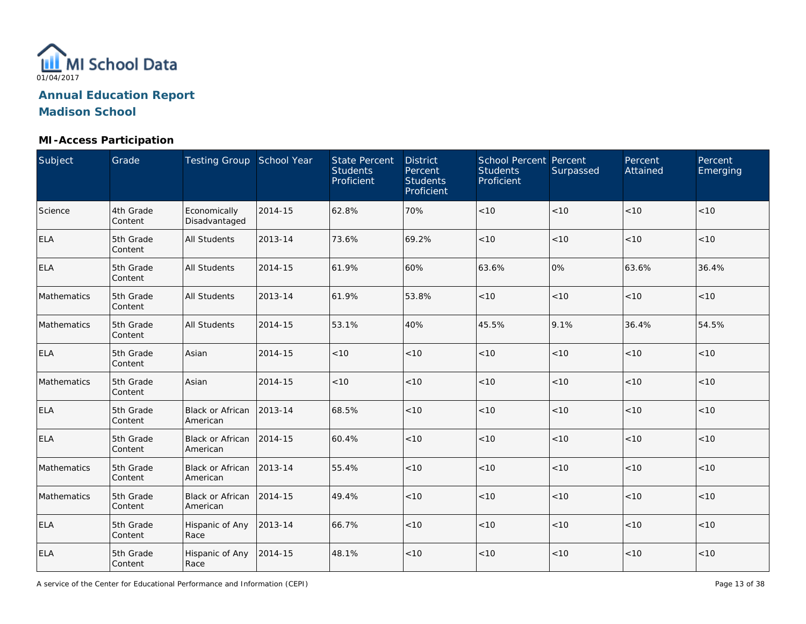

## **MI-Access Participation**

| Subject     | Grade                | Testing Group School Year           |         | <b>State Percent</b><br><b>Students</b><br>Proficient | <b>District</b><br>Percent<br><b>Students</b><br>Proficient | <b>School Percent Percent</b><br><b>Students</b><br>Proficient | Surpassed | Percent<br>Attained | Percent<br>Emerging |
|-------------|----------------------|-------------------------------------|---------|-------------------------------------------------------|-------------------------------------------------------------|----------------------------------------------------------------|-----------|---------------------|---------------------|
| Science     | 4th Grade<br>Content | Economically<br>Disadvantaged       | 2014-15 | 62.8%                                                 | 70%                                                         | $<10$                                                          | < 10      | < 10                | < 10                |
| ELA         | 5th Grade<br>Content | <b>All Students</b>                 | 2013-14 | 73.6%                                                 | 69.2%                                                       | < 10                                                           | < 10      | < 10                | < 10                |
| <b>ELA</b>  | 5th Grade<br>Content | <b>All Students</b>                 | 2014-15 | 61.9%                                                 | 60%                                                         | 63.6%                                                          | 0%        | 63.6%               | 36.4%               |
| Mathematics | 5th Grade<br>Content | <b>All Students</b>                 | 2013-14 | 61.9%                                                 | 53.8%                                                       | < 10                                                           | < 10      | < 10                | < 10                |
| Mathematics | 5th Grade<br>Content | <b>All Students</b>                 | 2014-15 | 53.1%                                                 | 40%                                                         | 45.5%                                                          | 9.1%      | 36.4%               | 54.5%               |
| <b>ELA</b>  | 5th Grade<br>Content | Asian                               | 2014-15 | < 10                                                  | $<10$                                                       | $<10$                                                          | < 10      | < 10                | < 10                |
| Mathematics | 5th Grade<br>Content | Asian                               | 2014-15 | < 10                                                  | < 10                                                        | < 10                                                           | < 10      | < 10                | < 10                |
| <b>ELA</b>  | 5th Grade<br>Content | Black or African<br>American        | 2013-14 | 68.5%                                                 | < 10                                                        | < 10                                                           | < 10      | < 10                | < 10                |
| <b>ELA</b>  | 5th Grade<br>Content | <b>Black or African</b><br>American | 2014-15 | 60.4%                                                 | < 10                                                        | $<10$                                                          | < 10      | < 10                | < 10                |
| Mathematics | 5th Grade<br>Content | Black or African<br>American        | 2013-14 | 55.4%                                                 | < 10                                                        | $<10$                                                          | < 10      | < 10                | < 10                |
| Mathematics | 5th Grade<br>Content | Black or African<br>American        | 2014-15 | 49.4%                                                 | $<10$                                                       | $<10$                                                          | < 10      | < 10                | < 10                |
| ELA         | 5th Grade<br>Content | Hispanic of Any<br>Race             | 2013-14 | 66.7%                                                 | < 10                                                        | $<10$                                                          | < 10      | < 10                | < 10                |
| ELA         | 5th Grade<br>Content | Hispanic of Any<br>Race             | 2014-15 | 48.1%                                                 | $<10$                                                       | < 10                                                           | < 10      | < 10                | < 10                |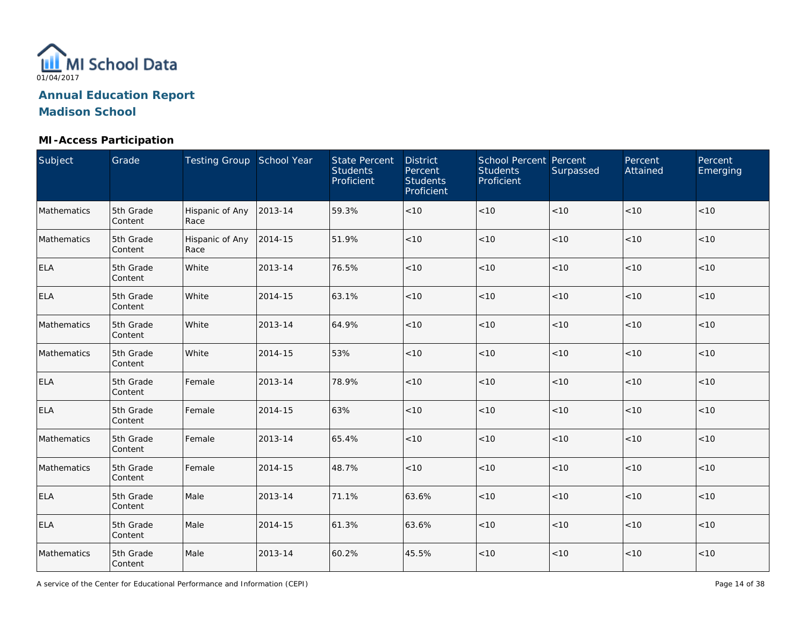

## **MI-Access Participation**

| Subject     | Grade                | Testing Group School Year |         | <b>State Percent</b><br><b>Students</b><br>Proficient | <b>District</b><br>Percent<br><b>Students</b><br>Proficient | School Percent Percent<br><b>Students</b><br>Proficient | Surpassed | Percent<br>Attained | Percent<br>Emerging |
|-------------|----------------------|---------------------------|---------|-------------------------------------------------------|-------------------------------------------------------------|---------------------------------------------------------|-----------|---------------------|---------------------|
| Mathematics | 5th Grade<br>Content | Hispanic of Any<br>Race   | 2013-14 | 59.3%                                                 | < 10                                                        | $<10$                                                   | < 10      | < 10                | < 10                |
| Mathematics | 5th Grade<br>Content | Hispanic of Any<br>Race   | 2014-15 | 51.9%                                                 | < 10                                                        | $<10$                                                   | < 10      | < 10                | < 10                |
| <b>ELA</b>  | 5th Grade<br>Content | White                     | 2013-14 | 76.5%                                                 | < 10                                                        | $<10$                                                   | $<10$     | < 10                | < 10                |
| <b>ELA</b>  | 5th Grade<br>Content | White                     | 2014-15 | 63.1%                                                 | $<10$                                                       | < 10                                                    | < 10      | < 10                | < 10                |
| Mathematics | 5th Grade<br>Content | White                     | 2013-14 | 64.9%                                                 | < 10                                                        | < 10                                                    | <10       | < 10                | < 10                |
| Mathematics | 5th Grade<br>Content | White                     | 2014-15 | 53%                                                   | < 10                                                        | < 10                                                    | < 10      | < 10                | < 10                |
| <b>ELA</b>  | 5th Grade<br>Content | Female                    | 2013-14 | 78.9%                                                 | < 10                                                        | < 10                                                    | < 10      | < 10                | < 10                |
| <b>ELA</b>  | 5th Grade<br>Content | Female                    | 2014-15 | 63%                                                   | < 10                                                        | $<10$                                                   | < 10      | < 10                | < 10                |
| Mathematics | 5th Grade<br>Content | Female                    | 2013-14 | 65.4%                                                 | < 10                                                        | $<10$                                                   | < 10      | < 10                | < 10                |
| Mathematics | 5th Grade<br>Content | Female                    | 2014-15 | 48.7%                                                 | < 10                                                        | $<10$                                                   | < 10      | < 10                | < 10                |
| <b>ELA</b>  | 5th Grade<br>Content | Male                      | 2013-14 | 71.1%                                                 | 63.6%                                                       | $<10$                                                   | < 10      | < 10                | < 10                |
| <b>ELA</b>  | 5th Grade<br>Content | Male                      | 2014-15 | 61.3%                                                 | 63.6%                                                       | $<10$                                                   | < 10      | < 10                | < 10                |
| Mathematics | 5th Grade<br>Content | Male                      | 2013-14 | 60.2%                                                 | 45.5%                                                       | $<10$                                                   | < 10      | < 10                | < 10                |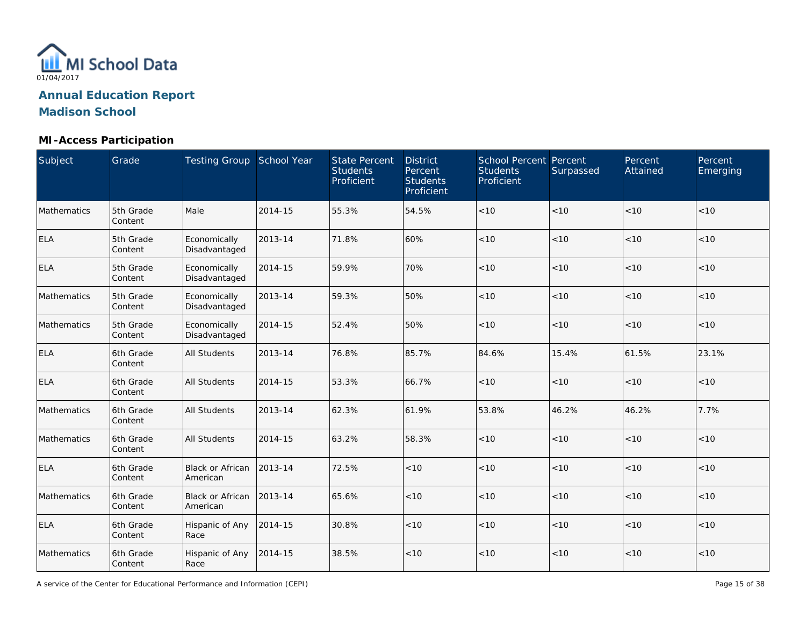

## **MI-Access Participation**

| Subject     | Grade                | Testing Group School Year           |         | <b>State Percent</b><br><b>Students</b><br>Proficient | <b>District</b><br>Percent<br><b>Students</b><br>Proficient | School Percent Percent<br><b>Students</b><br>Proficient | Surpassed | Percent<br>Attained | Percent<br>Emerging |
|-------------|----------------------|-------------------------------------|---------|-------------------------------------------------------|-------------------------------------------------------------|---------------------------------------------------------|-----------|---------------------|---------------------|
| Mathematics | 5th Grade<br>Content | Male                                | 2014-15 | 55.3%                                                 | 54.5%                                                       | $<10$                                                   | < 10      | < 10                | < 10                |
| <b>ELA</b>  | 5th Grade<br>Content | Economically<br>Disadvantaged       | 2013-14 | 71.8%                                                 | 60%                                                         | < 10                                                    | < 10      | < 10                | < 10                |
| <b>ELA</b>  | 5th Grade<br>Content | Economically<br>Disadvantaged       | 2014-15 | 59.9%                                                 | 70%                                                         | < 10                                                    | < 10      | < 10                | < 10                |
| Mathematics | 5th Grade<br>Content | Economically<br>Disadvantaged       | 2013-14 | 59.3%                                                 | 50%                                                         | < 10                                                    | < 10      | < 10                | < 10                |
| Mathematics | 5th Grade<br>Content | Economically<br>Disadvantaged       | 2014-15 | 52.4%                                                 | 50%                                                         | < 10                                                    | < 10      | < 10                | < 10                |
| <b>ELA</b>  | 6th Grade<br>Content | All Students                        | 2013-14 | 76.8%                                                 | 85.7%                                                       | 84.6%                                                   | 15.4%     | 61.5%               | 23.1%               |
| <b>ELA</b>  | 6th Grade<br>Content | <b>All Students</b>                 | 2014-15 | 53.3%                                                 | 66.7%                                                       | < 10                                                    | < 10      | < 10                | < 10                |
| Mathematics | 6th Grade<br>Content | <b>All Students</b>                 | 2013-14 | 62.3%                                                 | 61.9%                                                       | 53.8%                                                   | 46.2%     | 46.2%               | 7.7%                |
| Mathematics | 6th Grade<br>Content | All Students                        | 2014-15 | 63.2%                                                 | 58.3%                                                       | $<10$                                                   | < 10      | < 10                | < 10                |
| <b>ELA</b>  | 6th Grade<br>Content | <b>Black or African</b><br>American | 2013-14 | 72.5%                                                 | < 10                                                        | $<10$                                                   | < 10      | < 10                | < 10                |
| Mathematics | 6th Grade<br>Content | <b>Black or African</b><br>American | 2013-14 | 65.6%                                                 | < 10                                                        | $<10$                                                   | < 10      | < 10                | < 10                |
| <b>ELA</b>  | 6th Grade<br>Content | Hispanic of Any<br>Race             | 2014-15 | 30.8%                                                 | < 10                                                        | < 10                                                    | < 10      | < 10                | < 10                |
| Mathematics | 6th Grade<br>Content | Hispanic of Any<br>Race             | 2014-15 | 38.5%                                                 | < 10                                                        | < 10                                                    | < 10      | < 10                | < 10                |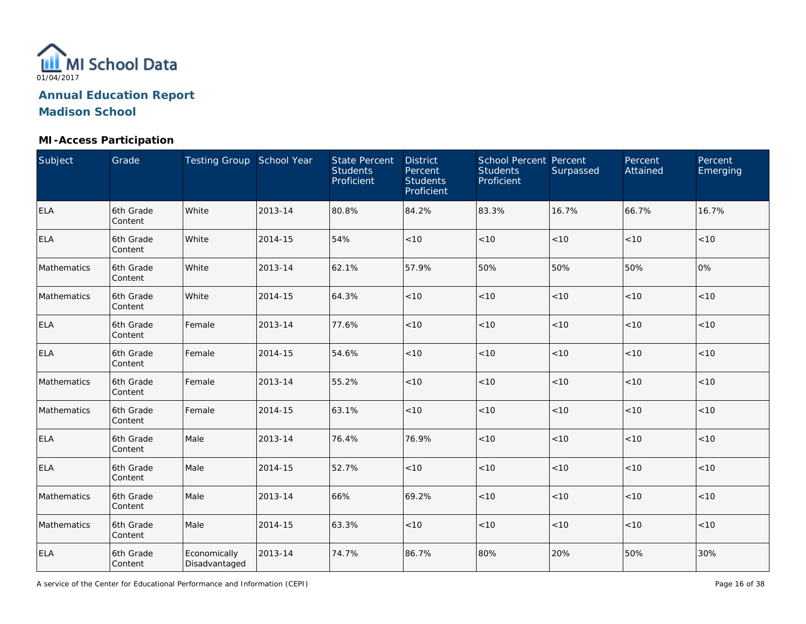

## **MI-Access Participation**

| Subject     | Grade                | Testing Group School Year     |         | <b>State Percent</b><br><b>Students</b><br>Proficient | <b>District</b><br>Percent<br><b>Students</b><br>Proficient | School Percent Percent<br><b>Students</b><br>Proficient | Surpassed | Percent<br>Attained | Percent<br>Emerging |
|-------------|----------------------|-------------------------------|---------|-------------------------------------------------------|-------------------------------------------------------------|---------------------------------------------------------|-----------|---------------------|---------------------|
| <b>ELA</b>  | 6th Grade<br>Content | White                         | 2013-14 | 80.8%                                                 | 84.2%                                                       | 83.3%                                                   | 16.7%     | 66.7%               | 16.7%               |
| <b>ELA</b>  | 6th Grade<br>Content | White                         | 2014-15 | 54%                                                   | < 10                                                        | < 10                                                    | < 10      | < 10                | < 10                |
| Mathematics | 6th Grade<br>Content | White                         | 2013-14 | 62.1%                                                 | 57.9%                                                       | 50%                                                     | 50%       | 50%                 | 0%                  |
| Mathematics | 6th Grade<br>Content | White                         | 2014-15 | 64.3%                                                 | < 10                                                        | < 10                                                    | < 10      | < 10                | < 10                |
| <b>ELA</b>  | 6th Grade<br>Content | Female                        | 2013-14 | 77.6%                                                 | < 10                                                        | < 10                                                    | <10       | < 10                | < 10                |
| <b>ELA</b>  | 6th Grade<br>Content | Female                        | 2014-15 | 54.6%                                                 | < 10                                                        | < 10                                                    | <10       | < 10                | < 10                |
| Mathematics | 6th Grade<br>Content | Female                        | 2013-14 | 55.2%                                                 | < 10                                                        | < 10                                                    | < 10      | < 10                | < 10                |
| Mathematics | 6th Grade<br>Content | Female                        | 2014-15 | 63.1%                                                 | < 10                                                        | $<10$                                                   | < 10      | < 10                | < 10                |
| <b>ELA</b>  | 6th Grade<br>Content | Male                          | 2013-14 | 76.4%                                                 | 76.9%                                                       | $<10$                                                   | < 10      | < 10                | $<10$               |
| <b>ELA</b>  | 6th Grade<br>Content | Male                          | 2014-15 | 52.7%                                                 | < 10                                                        | $<10$                                                   | $<10$     | $<10$               | < 10                |
| Mathematics | 6th Grade<br>Content | Male                          | 2013-14 | 66%                                                   | 69.2%                                                       | $<10$                                                   | $<10$     | < 10                | < 10                |
| Mathematics | 6th Grade<br>Content | Male                          | 2014-15 | 63.3%                                                 | < 10                                                        | < 10                                                    | $<10$     | < 10                | < 10                |
| <b>ELA</b>  | 6th Grade<br>Content | Economically<br>Disadvantaged | 2013-14 | 74.7%                                                 | 86.7%                                                       | 80%                                                     | 20%       | 50%                 | 30%                 |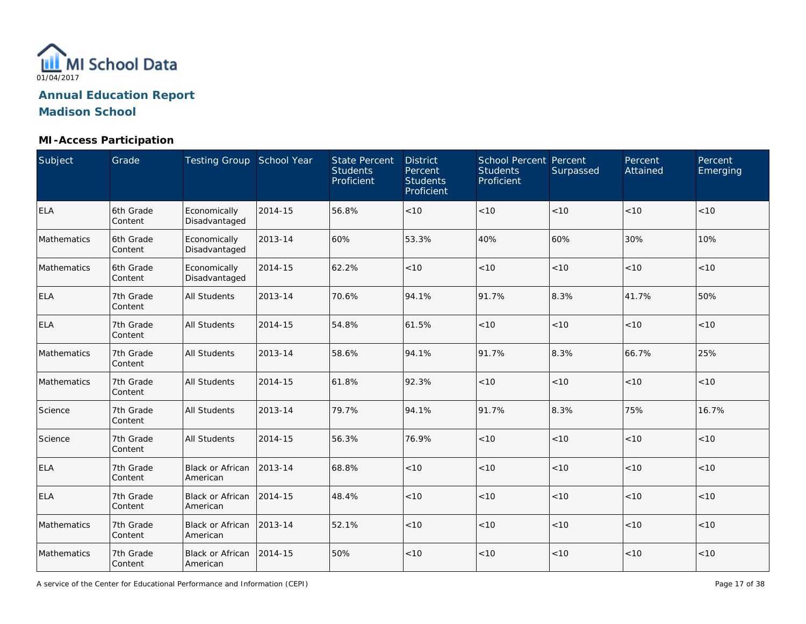

## **MI-Access Participation**

| Subject     | Grade                | Testing Group School Year            |         | <b>State Percent</b><br><b>Students</b><br>Proficient | <b>District</b><br>Percent<br><b>Students</b><br>Proficient | <b>School Percent Percent</b><br><b>Students</b><br>Proficient | Surpassed | Percent<br>Attained | Percent<br>Emerging |
|-------------|----------------------|--------------------------------------|---------|-------------------------------------------------------|-------------------------------------------------------------|----------------------------------------------------------------|-----------|---------------------|---------------------|
| <b>ELA</b>  | 6th Grade<br>Content | Economically<br>Disadvantaged        | 2014-15 | 56.8%                                                 | < 10                                                        | < 10                                                           | < 10      | < 10                | < 10                |
| Mathematics | 6th Grade<br>Content | Economically<br>Disadvantaged        | 2013-14 | 60%                                                   | 53.3%                                                       | 40%                                                            | 60%       | 30%                 | 10%                 |
| Mathematics | 6th Grade<br>Content | Economically<br>Disadvantaged        | 2014-15 | 62.2%                                                 | < 10                                                        | < 10                                                           | < 10      | < 10                | < 10                |
| <b>ELA</b>  | 7th Grade<br>Content | All Students                         | 2013-14 | 70.6%                                                 | 94.1%                                                       | 91.7%                                                          | 8.3%      | 41.7%               | 50%                 |
| <b>ELA</b>  | 7th Grade<br>Content | All Students                         | 2014-15 | 54.8%                                                 | 61.5%                                                       | < 10                                                           | <10       | <10                 | < 10                |
| Mathematics | 7th Grade<br>Content | All Students                         | 2013-14 | 58.6%                                                 | 94.1%                                                       | 91.7%                                                          | 8.3%      | 66.7%               | 25%                 |
| Mathematics | 7th Grade<br>Content | <b>All Students</b>                  | 2014-15 | 61.8%                                                 | 92.3%                                                       | < 10                                                           | < 10      | < 10                | < 10                |
| Science     | 7th Grade<br>Content | <b>All Students</b>                  | 2013-14 | 79.7%                                                 | 94.1%                                                       | 91.7%                                                          | 8.3%      | 75%                 | 16.7%               |
| Science     | 7th Grade<br>Content | <b>All Students</b>                  | 2014-15 | 56.3%                                                 | 76.9%                                                       | < 10                                                           | < 10      | < 10                | < 10                |
| <b>ELA</b>  | 7th Grade<br>Content | Black or African<br>American         | 2013-14 | 68.8%                                                 | < 10                                                        | < 10                                                           | < 10      | < 10                | < 10                |
| <b>ELA</b>  | 7th Grade<br>Content | Black or African<br>American         | 2014-15 | 48.4%                                                 | < 10                                                        | < 10                                                           | < 10      | < 10                | < 10                |
| Mathematics | 7th Grade<br>Content | Black or African<br>American         | 2013-14 | 52.1%                                                 | < 10                                                        | < 10                                                           | < 10      | < 10                | < 10                |
| Mathematics | 7th Grade<br>Content | Black or African 2014-15<br>American |         | 50%                                                   | $<10$                                                       | < 10                                                           | < 10      | < 10                | < 10                |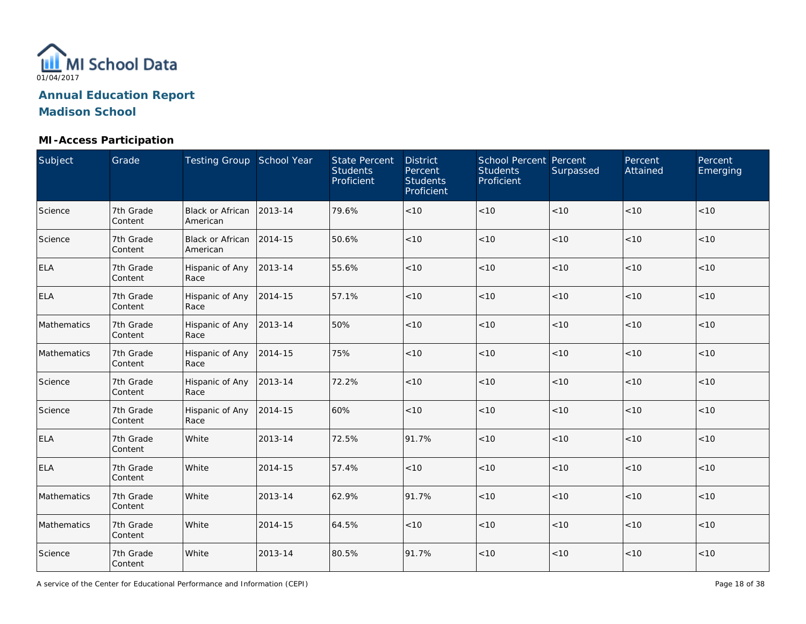

## **MI-Access Participation**

| Subject     | Grade                | Testing Group School Year    |         | <b>State Percent</b><br><b>Students</b><br>Proficient | <b>District</b><br>Percent<br><b>Students</b><br>Proficient | <b>School Percent Percent</b><br><b>Students</b><br>Proficient | Surpassed | Percent<br>Attained | Percent<br>Emerging |
|-------------|----------------------|------------------------------|---------|-------------------------------------------------------|-------------------------------------------------------------|----------------------------------------------------------------|-----------|---------------------|---------------------|
| Science     | 7th Grade<br>Content | Black or African<br>American | 2013-14 | 79.6%                                                 | < 10                                                        | $<10$                                                          | < 10      | < 10                | < 10                |
| Science     | 7th Grade<br>Content | Black or African<br>American | 2014-15 | 50.6%                                                 | < 10                                                        | < 10                                                           | < 10      | < 10                | < 10                |
| <b>ELA</b>  | 7th Grade<br>Content | Hispanic of Any<br>Race      | 2013-14 | 55.6%                                                 | < 10                                                        | < 10                                                           | < 10      | < 10                | < 10                |
| <b>ELA</b>  | 7th Grade<br>Content | Hispanic of Any<br>Race      | 2014-15 | 57.1%                                                 | $<10$                                                       | $<10$                                                          | < 10      | < 10                | < 10                |
| Mathematics | 7th Grade<br>Content | Hispanic of Any<br>Race      | 2013-14 | 50%                                                   | < 10                                                        | < 10                                                           | < 10      | < 10                | < 10                |
| Mathematics | 7th Grade<br>Content | Hispanic of Any<br>Race      | 2014-15 | 75%                                                   | < 10                                                        | $<10$                                                          | < 10      | < 10                | < 10                |
| Science     | 7th Grade<br>Content | Hispanic of Any<br>Race      | 2013-14 | 72.2%                                                 | < 10                                                        | < 10                                                           | < 10      | < 10                | < 10                |
| Science     | 7th Grade<br>Content | Hispanic of Any<br>Race      | 2014-15 | 60%                                                   | < 10                                                        | < 10                                                           | < 10      | < 10                | < 10                |
| <b>ELA</b>  | 7th Grade<br>Content | White                        | 2013-14 | 72.5%                                                 | 91.7%                                                       | $<10$                                                          | < 10      | < 10                | < 10                |
| <b>ELA</b>  | 7th Grade<br>Content | White                        | 2014-15 | 57.4%                                                 | < 10                                                        | $<10$                                                          | < 10      | < 10                | < 10                |
| Mathematics | 7th Grade<br>Content | White                        | 2013-14 | 62.9%                                                 | 91.7%                                                       | $<10$                                                          | $<10$     | < 10                | < 10                |
| Mathematics | 7th Grade<br>Content | White                        | 2014-15 | 64.5%                                                 | $<10$                                                       | < 10                                                           | < 10      | < 10                | < 10                |
| Science     | 7th Grade<br>Content | White                        | 2013-14 | 80.5%                                                 | 91.7%                                                       | < 10                                                           | $<10$     | < 10                | < 10                |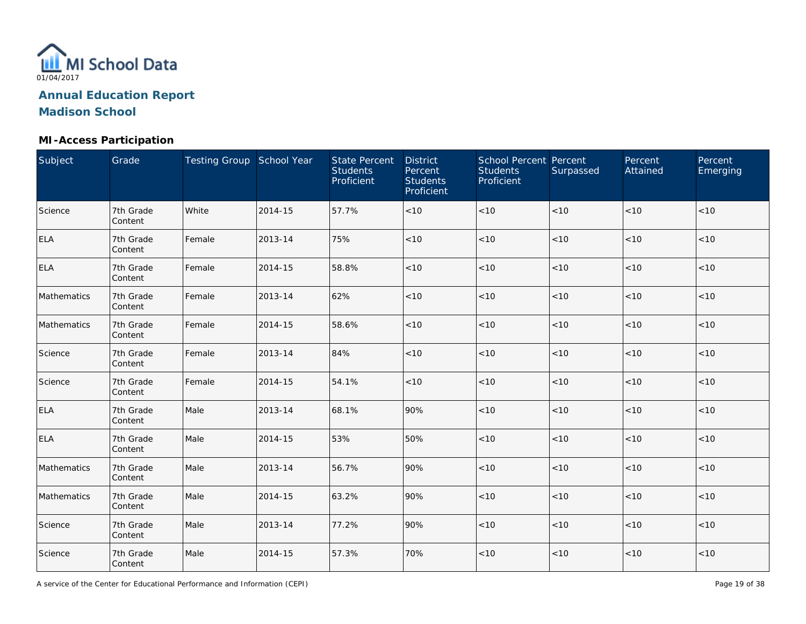

## **MI-Access Participation**

| Subject     | Grade                | Testing Group School Year |         | <b>State Percent</b><br><b>Students</b><br>Proficient | <b>District</b><br>Percent<br><b>Students</b><br>Proficient | School Percent Percent<br><b>Students</b><br>Proficient | Surpassed | Percent<br>Attained | Percent<br>Emerging |
|-------------|----------------------|---------------------------|---------|-------------------------------------------------------|-------------------------------------------------------------|---------------------------------------------------------|-----------|---------------------|---------------------|
| Science     | 7th Grade<br>Content | White                     | 2014-15 | 57.7%                                                 | < 10                                                        | $<10$                                                   | $<10$     | < 10                | < 10                |
| <b>ELA</b>  | 7th Grade<br>Content | Female                    | 2013-14 | 75%                                                   | < 10                                                        | $<10$                                                   | < 10      | < 10                | < 10                |
| <b>ELA</b>  | 7th Grade<br>Content | Female                    | 2014-15 | 58.8%                                                 | < 10                                                        | $<10$                                                   | < 10      | < 10                | $<10$               |
| Mathematics | 7th Grade<br>Content | Female                    | 2013-14 | 62%                                                   | $<10$                                                       | $<10$                                                   | < 10      | < 10                | < 10                |
| Mathematics | 7th Grade<br>Content | Female                    | 2014-15 | 58.6%                                                 | < 10                                                        | $<10$                                                   | < 10      | < 10                | < 10                |
| Science     | 7th Grade<br>Content | Female                    | 2013-14 | 84%                                                   | < 10                                                        | < 10                                                    | $<10$     | < 10                | < 10                |
| Science     | 7th Grade<br>Content | Female                    | 2014-15 | 54.1%                                                 | < 10                                                        | < 10                                                    | < 10      | < 10                | < 10                |
| <b>ELA</b>  | 7th Grade<br>Content | Male                      | 2013-14 | 68.1%                                                 | 90%                                                         | < 10                                                    | < 10      | < 10                | < 10                |
| <b>ELA</b>  | 7th Grade<br>Content | Male                      | 2014-15 | 53%                                                   | 50%                                                         | $<10$                                                   | $<10$     | < 10                | < 10                |
| Mathematics | 7th Grade<br>Content | Male                      | 2013-14 | 56.7%                                                 | 90%                                                         | $<10$                                                   | $<10$     | <10                 | < 10                |
| Mathematics | 7th Grade<br>Content | Male                      | 2014-15 | 63.2%                                                 | 90%                                                         | $<10$                                                   | $<10$     | < 10                | < 10                |
| Science     | 7th Grade<br>Content | Male                      | 2013-14 | 77.2%                                                 | 90%                                                         | $<10$                                                   | $<10$     | < 10                | < 10                |
| Science     | 7th Grade<br>Content | Male                      | 2014-15 | 57.3%                                                 | 70%                                                         | $<10$                                                   | $<10$     | < 10                | < 10                |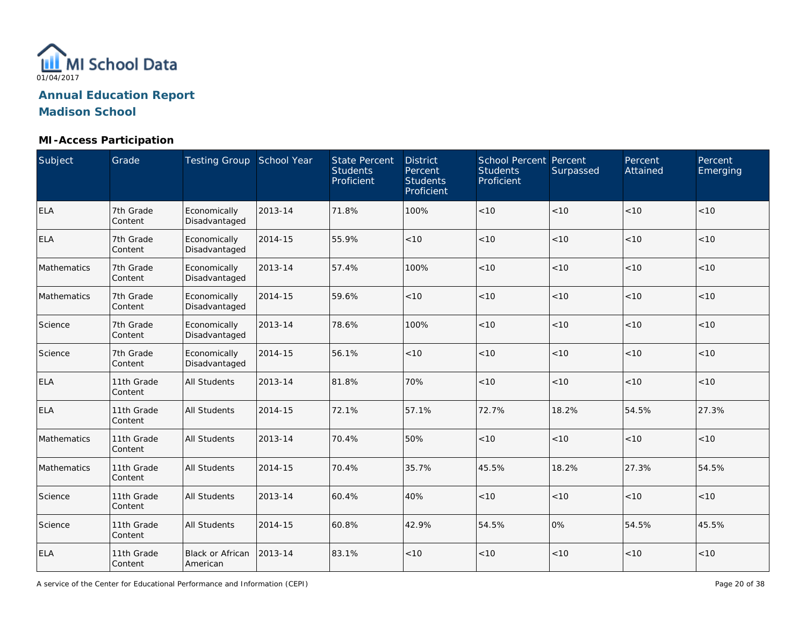

## **MI-Access Participation**

| Subject     | Grade                 | Testing Group School Year           |         | <b>State Percent</b><br><b>Students</b><br>Proficient | <b>District</b><br>Percent<br><b>Students</b><br>Proficient | <b>School Percent Percent</b><br><b>Students</b><br>Proficient | Surpassed | Percent<br>Attained | Percent<br>Emerging |
|-------------|-----------------------|-------------------------------------|---------|-------------------------------------------------------|-------------------------------------------------------------|----------------------------------------------------------------|-----------|---------------------|---------------------|
| ELA         | 7th Grade<br>Content  | Economically<br>Disadvantaged       | 2013-14 | 71.8%                                                 | 100%                                                        | < 10                                                           | < 10      | < 10                | < 10                |
| <b>ELA</b>  | 7th Grade<br>Content  | Economically<br>Disadvantaged       | 2014-15 | 55.9%                                                 | < 10                                                        | < 10                                                           | < 10      | < 10                | < 10                |
| Mathematics | 7th Grade<br>Content  | Economically<br>Disadvantaged       | 2013-14 | 57.4%                                                 | 100%                                                        | < 10                                                           | < 10      | < 10                | < 10                |
| Mathematics | 7th Grade<br>Content  | Economically<br>Disadvantaged       | 2014-15 | 59.6%                                                 | < 10                                                        | < 10                                                           | < 10      | < 10                | < 10                |
| Science     | 7th Grade<br>Content  | Economically<br>Disadvantaged       | 2013-14 | 78.6%                                                 | 100%                                                        | < 10                                                           | < 10      | < 10                | < 10                |
| Science     | 7th Grade<br>Content  | Economically<br>Disadvantaged       | 2014-15 | 56.1%                                                 | < 10                                                        | < 10                                                           | < 10      | < 10                | < 10                |
| <b>ELA</b>  | 11th Grade<br>Content | <b>All Students</b>                 | 2013-14 | 81.8%                                                 | 70%                                                         | < 10                                                           | < 10      | < 10                | < 10                |
| <b>ELA</b>  | 11th Grade<br>Content | <b>All Students</b>                 | 2014-15 | 72.1%                                                 | 57.1%                                                       | 72.7%                                                          | 18.2%     | 54.5%               | 27.3%               |
| Mathematics | 11th Grade<br>Content | All Students                        | 2013-14 | 70.4%                                                 | 50%                                                         | $<10$                                                          | < 10      | < 10                | < 10                |
| Mathematics | 11th Grade<br>Content | <b>All Students</b>                 | 2014-15 | 70.4%                                                 | 35.7%                                                       | 45.5%                                                          | 18.2%     | 27.3%               | 54.5%               |
| Science     | 11th Grade<br>Content | <b>All Students</b>                 | 2013-14 | 60.4%                                                 | 40%                                                         | $<10$                                                          | < 10      | < 10                | < 10                |
| Science     | 11th Grade<br>Content | <b>All Students</b>                 | 2014-15 | 60.8%                                                 | 42.9%                                                       | 54.5%                                                          | 0%        | 54.5%               | 45.5%               |
| <b>ELA</b>  | 11th Grade<br>Content | <b>Black or African</b><br>American | 2013-14 | 83.1%                                                 | $<10$                                                       | < 10                                                           | < 10      | < 10                | < 10                |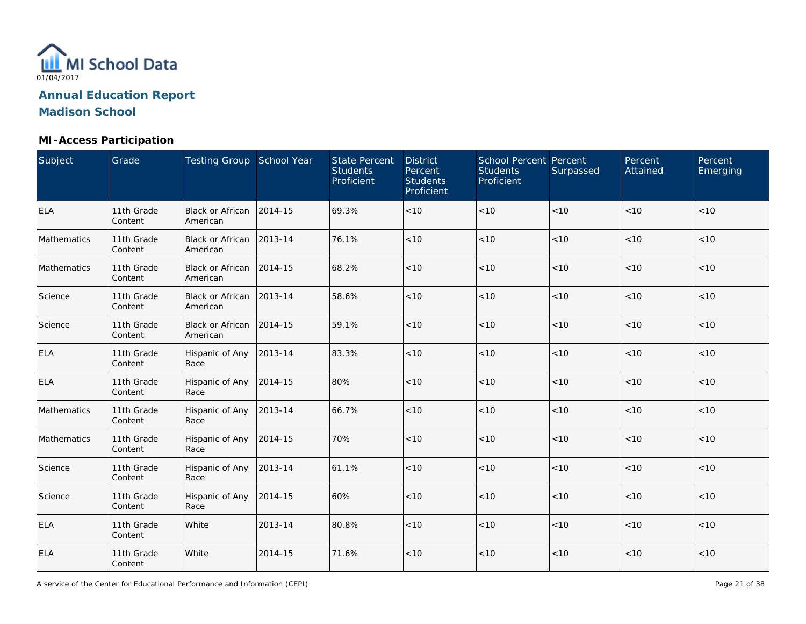

## **MI-Access Participation**

| Subject     | Grade                 | Testing Group School Year           |         | <b>State Percent</b><br><b>Students</b><br>Proficient | <b>District</b><br>Percent<br><b>Students</b><br>Proficient | <b>School Percent Percent</b><br><b>Students</b><br>Proficient | Surpassed | Percent<br>Attained | Percent<br>Emerging |
|-------------|-----------------------|-------------------------------------|---------|-------------------------------------------------------|-------------------------------------------------------------|----------------------------------------------------------------|-----------|---------------------|---------------------|
| <b>ELA</b>  | 11th Grade<br>Content | <b>Black or African</b><br>American | 2014-15 | 69.3%                                                 | < 10                                                        | $<10$                                                          | < 10      | < 10                | < 10                |
| Mathematics | 11th Grade<br>Content | <b>Black or African</b><br>American | 2013-14 | 76.1%                                                 | < 10                                                        | < 10                                                           | < 10      | < 10                | < 10                |
| Mathematics | 11th Grade<br>Content | Black or African<br>American        | 2014-15 | 68.2%                                                 | < 10                                                        | < 10                                                           | <10       | < 10                | < 10                |
| Science     | 11th Grade<br>Content | <b>Black or African</b><br>American | 2013-14 | 58.6%                                                 | < 10                                                        | < 10                                                           | <10       | < 10                | < 10                |
| Science     | 11th Grade<br>Content | <b>Black or African</b><br>American | 2014-15 | 59.1%                                                 | < 10                                                        | < 10                                                           | <10       | < 10                | < 10                |
| <b>ELA</b>  | 11th Grade<br>Content | Hispanic of Any<br>Race             | 2013-14 | 83.3%                                                 | < 10                                                        | < 10                                                           | $<10$     | < 10                | < 10                |
| <b>ELA</b>  | 11th Grade<br>Content | Hispanic of Any<br>Race             | 2014-15 | 80%                                                   | < 10                                                        | < 10                                                           | < 10      | < 10                | < 10                |
| Mathematics | 11th Grade<br>Content | Hispanic of Any<br>Race             | 2013-14 | 66.7%                                                 | < 10                                                        | $<10$                                                          | $<10$     | $<10$               | < 10                |
| Mathematics | 11th Grade<br>Content | Hispanic of Any<br>Race             | 2014-15 | 70%                                                   | < 10                                                        | < 10                                                           | < 10      | < 10                | < 10                |
| Science     | 11th Grade<br>Content | Hispanic of Any<br>Race             | 2013-14 | 61.1%                                                 | < 10                                                        | < 10                                                           | < 10      | < 10                | < 10                |
| Science     | 11th Grade<br>Content | Hispanic of Any<br>Race             | 2014-15 | 60%                                                   | < 10                                                        | < 10                                                           | < 10      | < 10                | < 10                |
| <b>ELA</b>  | 11th Grade<br>Content | White                               | 2013-14 | 80.8%                                                 | < 10                                                        | < 10                                                           | <10       | < 10                | < 10                |
| <b>ELA</b>  | 11th Grade<br>Content | White                               | 2014-15 | 71.6%                                                 | < 10                                                        | $<10$                                                          | $<10$     | < 10                | < 10                |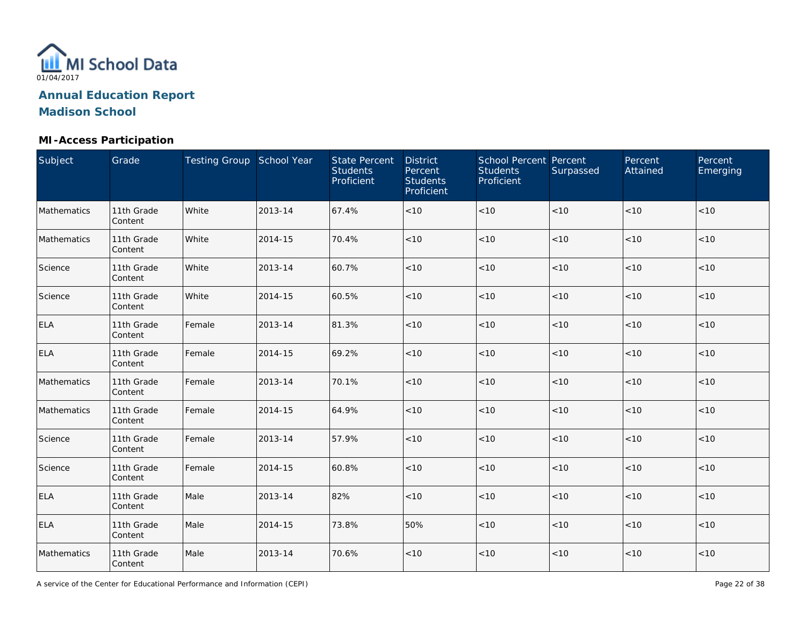

## **MI-Access Participation**

| Subject     | Grade                 | Testing Group School Year |         | <b>State Percent</b><br><b>Students</b><br>Proficient | <b>District</b><br>Percent<br><b>Students</b><br>Proficient | School Percent Percent<br><b>Students</b><br>Proficient | Surpassed | Percent<br>Attained | Percent<br>Emerging |
|-------------|-----------------------|---------------------------|---------|-------------------------------------------------------|-------------------------------------------------------------|---------------------------------------------------------|-----------|---------------------|---------------------|
| Mathematics | 11th Grade<br>Content | White                     | 2013-14 | 67.4%                                                 | < 10                                                        | $<10$                                                   | $<10$     | < 10                | $<10$               |
| Mathematics | 11th Grade<br>Content | White                     | 2014-15 | 70.4%                                                 | < 10                                                        | < 10                                                    | < 10      | < 10                | $<10$               |
| Science     | 11th Grade<br>Content | White                     | 2013-14 | 60.7%                                                 | < 10                                                        | $<10$                                                   | < 10      | < 10                | $<10$               |
| Science     | 11th Grade<br>Content | White                     | 2014-15 | 60.5%                                                 | < 10                                                        | < 10                                                    | < 10      | < 10                | < 10                |
| <b>ELA</b>  | 11th Grade<br>Content | Female                    | 2013-14 | 81.3%                                                 | < 10                                                        | < 10                                                    | $<10$     | < 10                | < 10                |
| <b>ELA</b>  | 11th Grade<br>Content | Female                    | 2014-15 | 69.2%                                                 | < 10                                                        | < 10                                                    | < 10      | < 10                | < 10                |
| Mathematics | 11th Grade<br>Content | Female                    | 2013-14 | 70.1%                                                 | < 10                                                        | $<10$                                                   | < 10      | $<10$               | $<10$               |
| Mathematics | 11th Grade<br>Content | Female                    | 2014-15 | 64.9%                                                 | < 10                                                        | $<10$                                                   | < 10      | < 10                | < 10                |
| Science     | 11th Grade<br>Content | Female                    | 2013-14 | 57.9%                                                 | < 10                                                        | < 10                                                    | < 10      | < 10                | < 10                |
| Science     | 11th Grade<br>Content | Female                    | 2014-15 | 60.8%                                                 | < 10                                                        | < 10                                                    | < 10      | < 10                | < 10                |
| <b>ELA</b>  | 11th Grade<br>Content | Male                      | 2013-14 | 82%                                                   | < 10                                                        | $<10$                                                   | < 10      | < 10                | < 10                |
| ELA         | 11th Grade<br>Content | Male                      | 2014-15 | 73.8%                                                 | 50%                                                         | $<10$                                                   | <10       | < 10                | < 10                |
| Mathematics | 11th Grade<br>Content | Male                      | 2013-14 | 70.6%                                                 | < 10                                                        | $<10$                                                   | $<10$     | < 10                | $<10$               |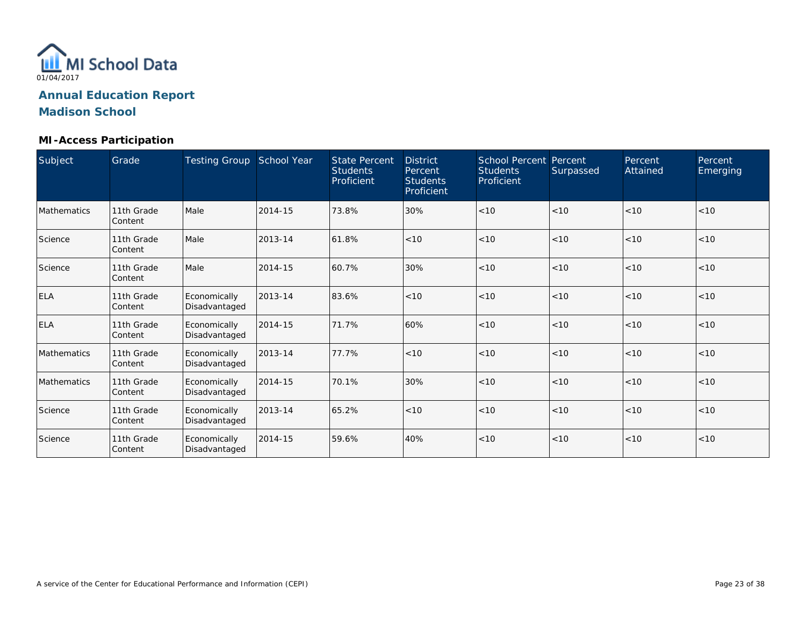

#### **MI-Access Participation**

| Subject            | Grade                 | <b>Testing Group</b>          | School Year | <b>State Percent</b><br><b>Students</b><br>Proficient | <b>District</b><br>Percent<br><b>Students</b><br>Proficient | <b>School Percent Percent</b><br><b>Students</b><br>Proficient | Surpassed | Percent<br>Attained | Percent<br>Emerging |
|--------------------|-----------------------|-------------------------------|-------------|-------------------------------------------------------|-------------------------------------------------------------|----------------------------------------------------------------|-----------|---------------------|---------------------|
| <b>Mathematics</b> | 11th Grade<br>Content | Male                          | 2014-15     | 73.8%                                                 | 30%                                                         | < 10                                                           | < 10      | < 10                | < 10                |
| Science            | 11th Grade<br>Content | Male                          | 2013-14     | 61.8%                                                 | < 10                                                        | < 10                                                           | < 10      | < 10                | < 10                |
| Science            | 11th Grade<br>Content | Male                          | 2014-15     | 60.7%                                                 | 30%                                                         | < 10                                                           | < 10      | < 10                | < 10                |
| <b>ELA</b>         | 11th Grade<br>Content | Economically<br>Disadvantaged | 2013-14     | 83.6%                                                 | < 10                                                        | < 10                                                           | < 10      | < 10                | < 10                |
| <b>ELA</b>         | 11th Grade<br>Content | Economically<br>Disadvantaged | 2014-15     | 71.7%                                                 | 60%                                                         | < 10                                                           | < 10      | < 10                | < 10                |
| Mathematics        | 11th Grade<br>Content | Economically<br>Disadvantaged | 2013-14     | 77.7%                                                 | < 10                                                        | < 10                                                           | < 10      | < 10                | < 10                |
| <b>Mathematics</b> | 11th Grade<br>Content | Economically<br>Disadvantaged | 2014-15     | 70.1%                                                 | 30%                                                         | < 10                                                           | < 10      | < 10                | < 10                |
| Science            | 11th Grade<br>Content | Economically<br>Disadvantaged | 2013-14     | 65.2%                                                 | < 10                                                        | < 10                                                           | < 10      | < 10                | < 10                |
| Science            | 11th Grade<br>Content | Economically<br>Disadvantaged | 2014-15     | 59.6%                                                 | 40%                                                         | < 10                                                           | < 10      | < 10                | < 10                |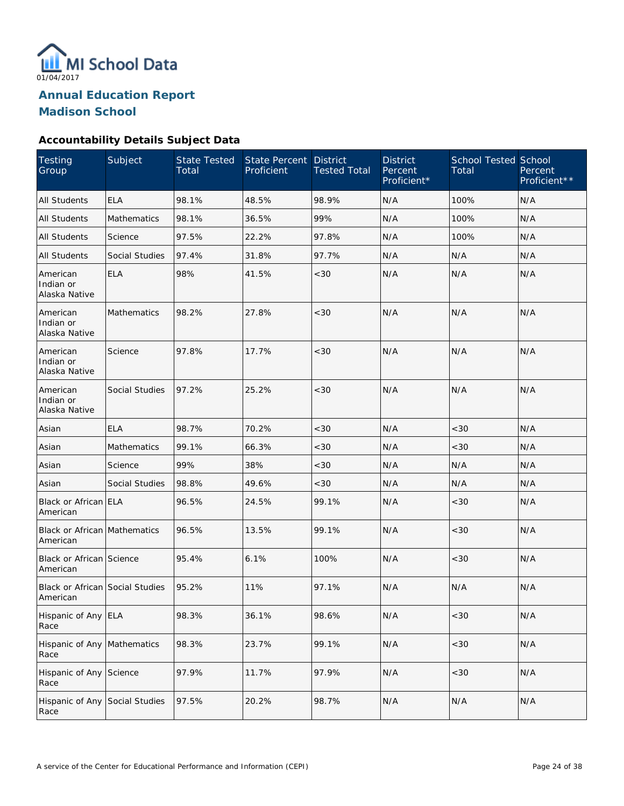

#### **Accountability Details Subject Data**

| <b>Testing</b><br>Group                            | Subject            | <b>State Tested</b><br>Total | <b>State Percent</b><br>Proficient | <b>District</b><br><b>Tested Total</b> | <b>District</b><br>Percent<br>Proficient* | <b>School Tested School</b><br>Total | Percent<br>Proficient** |
|----------------------------------------------------|--------------------|------------------------------|------------------------------------|----------------------------------------|-------------------------------------------|--------------------------------------|-------------------------|
| <b>All Students</b>                                | <b>ELA</b>         | 98.1%                        | 48.5%                              | 98.9%                                  | N/A                                       | 100%                                 | N/A                     |
| <b>All Students</b>                                | <b>Mathematics</b> | 98.1%                        | 36.5%                              | 99%                                    | N/A                                       | 100%                                 | N/A                     |
| <b>All Students</b>                                | Science            | 97.5%                        | 22.2%                              | 97.8%                                  | N/A                                       | 100%                                 | N/A                     |
| <b>All Students</b>                                | Social Studies     | 97.4%                        | 31.8%                              | 97.7%                                  | N/A                                       | N/A                                  | N/A                     |
| American<br>Indian or<br>Alaska Native             | <b>ELA</b>         | 98%                          | 41.5%                              | <30                                    | N/A                                       | N/A                                  | N/A                     |
| American<br>Indian or<br>Alaska Native             | Mathematics        | 98.2%                        | 27.8%                              | <30                                    | N/A                                       | N/A                                  | N/A                     |
| American<br>Indian or<br>Alaska Native             | Science            | 97.8%                        | 17.7%                              | < 30                                   | N/A                                       | N/A                                  | N/A                     |
| American<br>Indian or<br>Alaska Native             | Social Studies     | 97.2%                        | 25.2%                              | <30                                    | N/A                                       | N/A                                  | N/A                     |
| Asian                                              | <b>ELA</b>         | 98.7%                        | 70.2%                              | <30                                    | N/A                                       | <30                                  | N/A                     |
| Asian                                              | Mathematics        | 99.1%                        | 66.3%                              | <30                                    | N/A                                       | <30                                  | N/A                     |
| Asian                                              | Science            | 99%                          | 38%                                | <30                                    | N/A                                       | N/A                                  | N/A                     |
| Asian                                              | Social Studies     | 98.8%                        | 49.6%                              | < 30                                   | N/A                                       | N/A                                  | N/A                     |
| Black or African ELA<br>American                   |                    | 96.5%                        | 24.5%                              | 99.1%                                  | N/A                                       | < 30                                 | N/A                     |
| Black or African Mathematics<br>American           |                    | 96.5%                        | 13.5%                              | 99.1%                                  | N/A                                       | <30                                  | N/A                     |
| Black or African Science<br>American               |                    | 95.4%                        | 6.1%                               | 100%                                   | N/A                                       | < 30                                 | N/A                     |
| <b>Black or African Social Studies</b><br>American |                    | 95.2%                        | 11%                                | 97.1%                                  | N/A                                       | N/A                                  | N/A                     |
| Hispanic of Any ELA<br>Race                        |                    | 98.3%                        | 36.1%                              | 98.6%                                  | N/A                                       | <30                                  | N/A                     |
| Hispanic of Any Mathematics<br>Race                |                    | 98.3%                        | 23.7%                              | 99.1%                                  | N/A                                       | <30                                  | N/A                     |
| Hispanic of Any<br>Race                            | Science            | 97.9%                        | 11.7%                              | 97.9%                                  | N/A                                       | $<30$                                | N/A                     |
| Hispanic of Any<br>Race                            | Social Studies     | 97.5%                        | 20.2%                              | 98.7%                                  | N/A                                       | N/A                                  | N/A                     |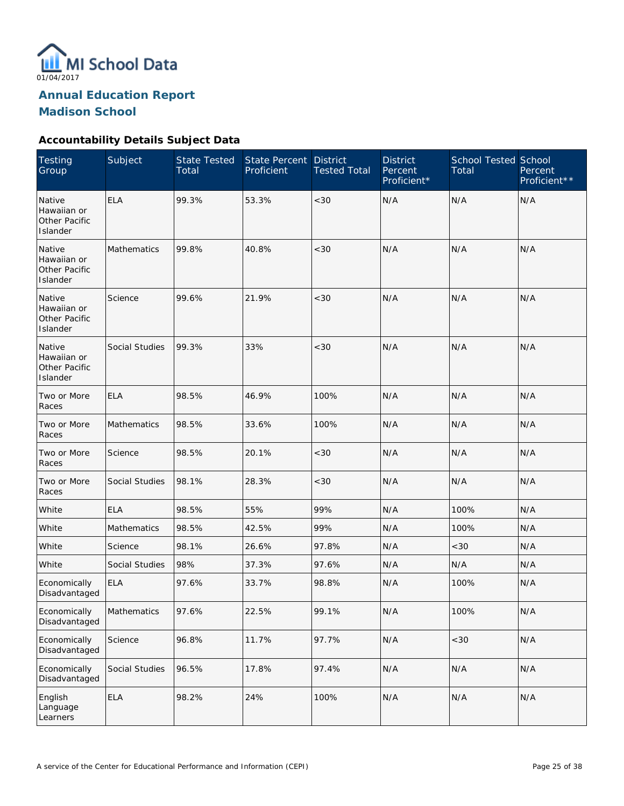

**Annual Education Report** 

**Madison School** 

## **Accountability Details Subject Data**

| <b>Testing</b><br>Group                            | Subject               | <b>State Tested</b><br>Total | <b>State Percent</b><br>Proficient | <b>District</b><br><b>Tested Total</b> | <b>District</b><br>Percent<br>Proficient* | <b>School Tested School</b><br>Total | Percent<br>Proficient** |
|----------------------------------------------------|-----------------------|------------------------------|------------------------------------|----------------------------------------|-------------------------------------------|--------------------------------------|-------------------------|
| Native<br>Hawaiian or<br>Other Pacific<br>Islander | <b>ELA</b>            | 99.3%                        | 53.3%                              | <30                                    | N/A                                       | N/A                                  | N/A                     |
| Native<br>Hawaiian or<br>Other Pacific<br>Islander | Mathematics           | 99.8%                        | 40.8%                              | <30                                    | N/A                                       | N/A                                  | N/A                     |
| Native<br>Hawaiian or<br>Other Pacific<br>Islander | Science               | 99.6%                        | 21.9%                              | <30                                    | N/A                                       | N/A                                  | N/A                     |
| Native<br>Hawaiian or<br>Other Pacific<br>Islander | Social Studies        | 99.3%                        | 33%                                | <30                                    | N/A                                       | N/A                                  | N/A                     |
| Two or More<br>Races                               | <b>ELA</b>            | 98.5%                        | 46.9%                              | 100%                                   | N/A                                       | N/A                                  | N/A                     |
| Two or More<br>Races                               | Mathematics           | 98.5%                        | 33.6%                              | 100%                                   | N/A                                       | N/A                                  | N/A                     |
| Two or More<br>Races                               | Science               | 98.5%                        | 20.1%                              | <30                                    | N/A                                       | N/A                                  | N/A                     |
| Two or More<br>Races                               | Social Studies        | 98.1%                        | 28.3%                              | <30                                    | N/A                                       | N/A                                  | N/A                     |
| White                                              | <b>ELA</b>            | 98.5%                        | 55%                                | 99%                                    | N/A                                       | 100%                                 | N/A                     |
| White                                              | Mathematics           | 98.5%                        | 42.5%                              | 99%                                    | N/A                                       | 100%                                 | N/A                     |
| White                                              | Science               | 98.1%                        | 26.6%                              | 97.8%                                  | N/A                                       | < 30                                 | N/A                     |
| White                                              | <b>Social Studies</b> | 98%                          | 37.3%                              | 97.6%                                  | N/A                                       | N/A                                  | N/A                     |
| Economically<br>Disadvantaged                      | <b>ELA</b>            | 97.6%                        | 33.7%                              | 98.8%                                  | N/A                                       | 100%                                 | N/A                     |
| Economically<br>Disadvantaged                      | Mathematics           | 97.6%                        | 22.5%                              | 99.1%                                  | N/A                                       | 100%                                 | N/A                     |
| Economically<br>Disadvantaged                      | Science               | 96.8%                        | 11.7%                              | 97.7%                                  | N/A                                       | $<30$                                | N/A                     |
| Economically<br>Disadvantaged                      | Social Studies        | 96.5%                        | 17.8%                              | 97.4%                                  | N/A                                       | N/A                                  | N/A                     |
| English<br>Language<br>Learners                    | <b>ELA</b>            | 98.2%                        | 24%                                | 100%                                   | N/A                                       | N/A                                  | N/A                     |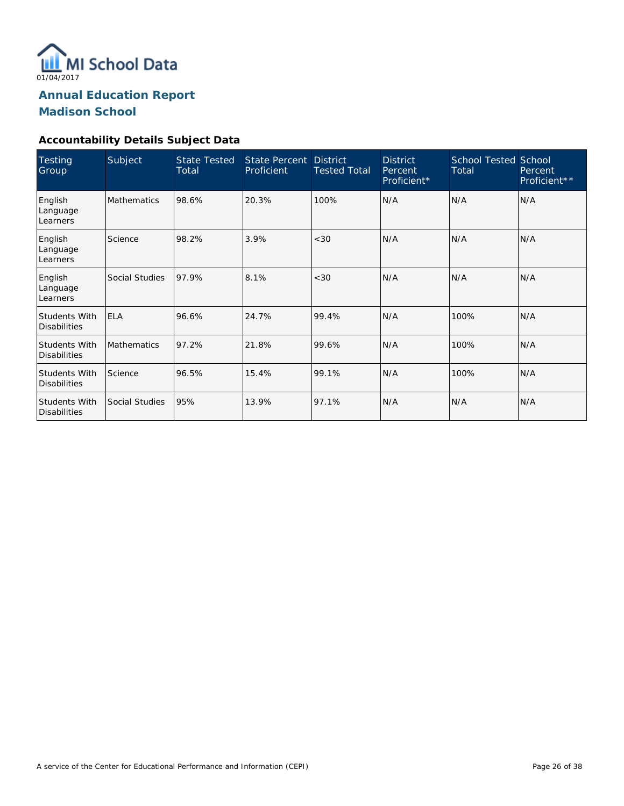

#### **Accountability Details Subject Data**

| <b>Testing</b><br>Group                     | Subject            | <b>State Tested</b><br>Total | <b>State Percent</b><br>Proficient | <b>District</b><br><b>Tested Total</b> | <b>District</b><br>Percent<br>Proficient* | <b>School Tested School</b><br>Total | Percent<br>Proficient** |
|---------------------------------------------|--------------------|------------------------------|------------------------------------|----------------------------------------|-------------------------------------------|--------------------------------------|-------------------------|
| English<br>Language<br>Learners             | <b>Mathematics</b> | 98.6%                        | 20.3%                              | 100%                                   | N/A                                       | N/A                                  | N/A                     |
| English<br>Language<br>Learners             | Science            | 98.2%                        | 3.9%                               | <30                                    | N/A                                       | N/A                                  | N/A                     |
| English<br>Language<br>Learners             | Social Studies     | 97.9%                        | 8.1%                               | <30                                    | N/A                                       | N/A                                  | N/A                     |
| Students With<br><b>Disabilities</b>        | <b>ELA</b>         | 96.6%                        | 24.7%                              | 99.4%                                  | N/A                                       | 100%                                 | N/A                     |
| <b>Students With</b><br><b>Disabilities</b> | <b>Mathematics</b> | 97.2%                        | 21.8%                              | 99.6%                                  | N/A                                       | 100%                                 | N/A                     |
| <b>Students With</b><br><b>Disabilities</b> | Science            | 96.5%                        | 15.4%                              | 99.1%                                  | N/A                                       | 100%                                 | N/A                     |
| Students With<br><b>Disabilities</b>        | Social Studies     | 95%                          | 13.9%                              | 97.1%                                  | N/A                                       | N/A                                  | N/A                     |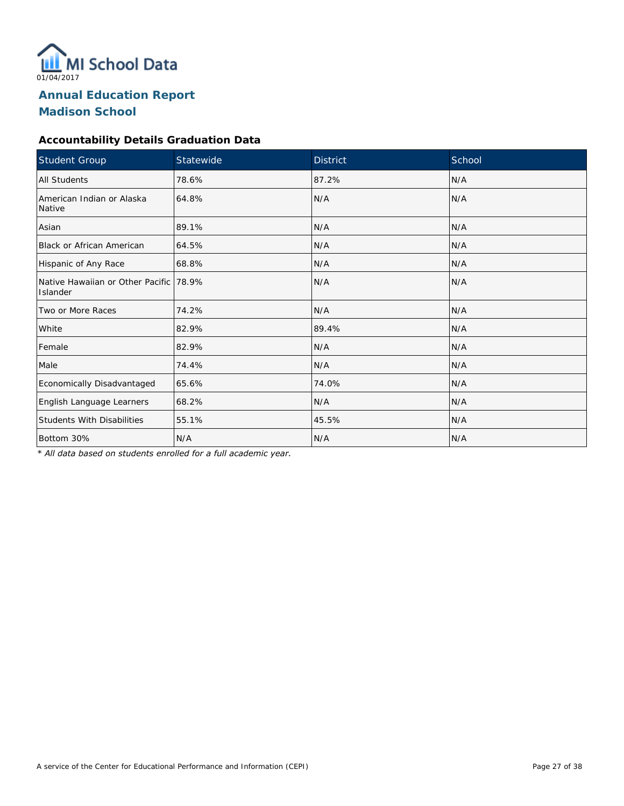

## **Accountability Details Graduation Data**

| <b>Student Group</b>                               | Statewide | <b>District</b> | School |
|----------------------------------------------------|-----------|-----------------|--------|
| <b>All Students</b>                                | 78.6%     | 87.2%           | N/A    |
| American Indian or Alaska<br>Native                | 64.8%     | N/A             | N/A    |
| Asian                                              | 89.1%     | N/A             | N/A    |
| <b>Black or African American</b>                   | 64.5%     | N/A             | N/A    |
| Hispanic of Any Race                               | 68.8%     | N/A             | N/A    |
| Native Hawaiian or Other Pacific 78.9%<br>Islander |           | N/A             | N/A    |
| Two or More Races                                  | 74.2%     | N/A             | N/A    |
| White                                              | 82.9%     | 89.4%           | N/A    |
| Female                                             | 82.9%     | N/A             | N/A    |
| Male                                               | 74.4%     | N/A             | N/A    |
| Economically Disadvantaged                         | 65.6%     | 74.0%           | N/A    |
| English Language Learners                          | 68.2%     | N/A             | N/A    |
| <b>Students With Disabilities</b>                  | 55.1%     | 45.5%           | N/A    |
| Bottom 30%                                         | N/A       | N/A             | N/A    |

*\* All data based on students enrolled for a full academic year.*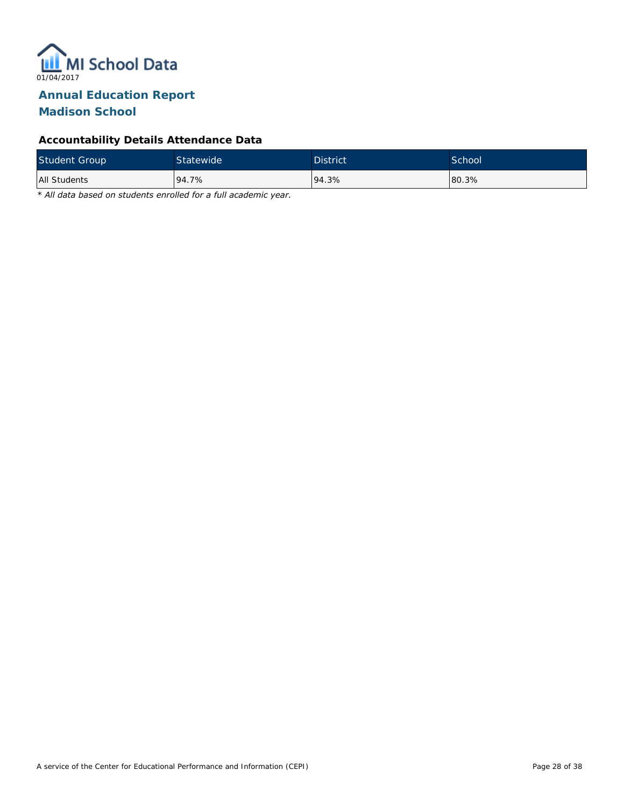

## **Accountability Details Attendance Data**

| Student Group | Statewide | <b>District</b> | School <sup>'</sup> |
|---------------|-----------|-----------------|---------------------|
| All Students  | 94.7%     | 94.3%           | 80.3%               |

*\* All data based on students enrolled for a full academic year.*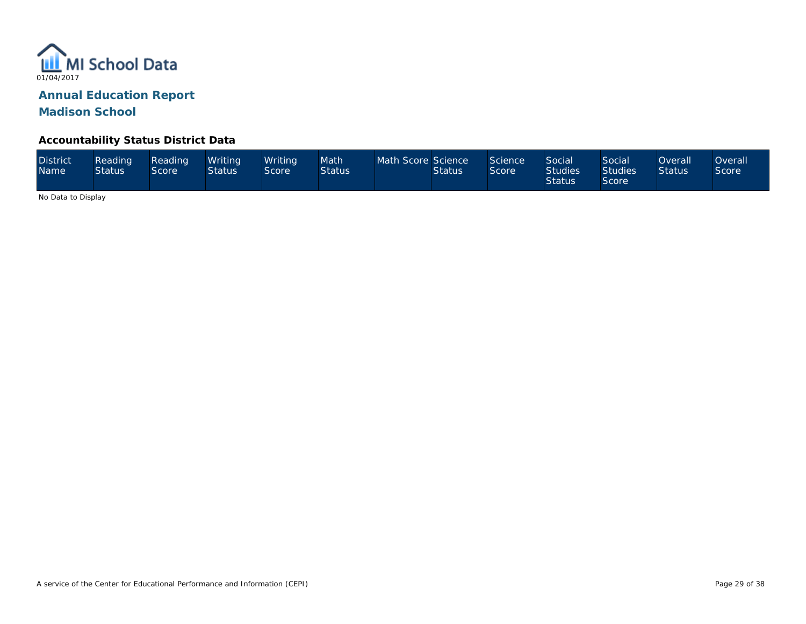

#### **Accountability Status District Data**

| <b>District</b><br><b>Name</b> | Reading <sup>1</sup><br><b>Status</b> | Reading<br>Score <sup>1</sup> | Writina<br><b>Status</b> | Writina<br>Score | Math<br><b>Status</b> | Math Score Science | <b>Status</b> | Science<br>Score | Social<br>Studies <sup>1</sup><br><b>Status</b> | Social<br><b>Studies</b><br>Score | Overall<br><b>Status</b> | <b>Overall</b><br>Score <sup>®</sup> |
|--------------------------------|---------------------------------------|-------------------------------|--------------------------|------------------|-----------------------|--------------------|---------------|------------------|-------------------------------------------------|-----------------------------------|--------------------------|--------------------------------------|
|--------------------------------|---------------------------------------|-------------------------------|--------------------------|------------------|-----------------------|--------------------|---------------|------------------|-------------------------------------------------|-----------------------------------|--------------------------|--------------------------------------|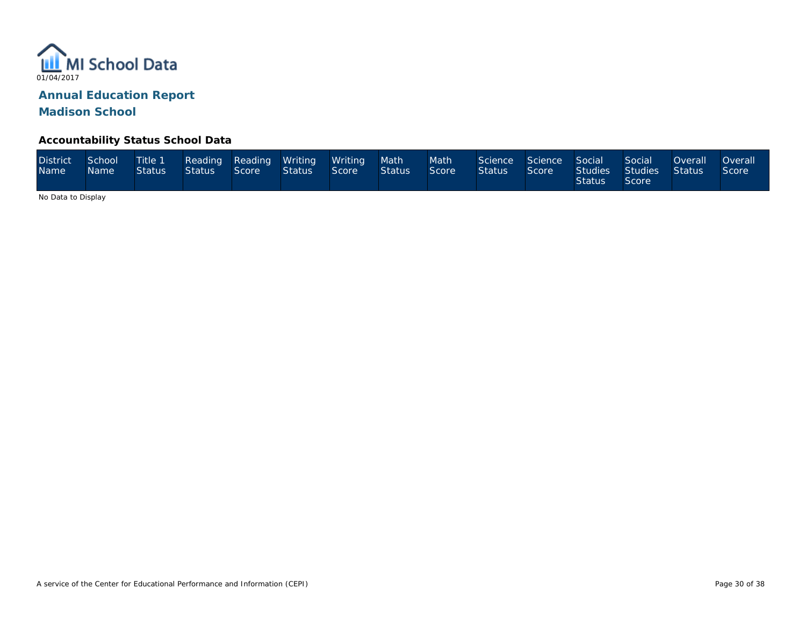

#### **Accountability Status School Data**

| District<br>Name <sup>1</sup> | School<br>Name: | Title 1<br><b>Status</b> | Status | Score | Reading Reading Writing Writing<br>Status | Score | Math<br>Status | Math<br>Score | Science<br><b>Status</b> | Science Social<br>Score | Studies Studies<br>Status <sup>1</sup> | Social<br>Score | Overall<br>Status | <b>Overall</b><br>Score |
|-------------------------------|-----------------|--------------------------|--------|-------|-------------------------------------------|-------|----------------|---------------|--------------------------|-------------------------|----------------------------------------|-----------------|-------------------|-------------------------|
|-------------------------------|-----------------|--------------------------|--------|-------|-------------------------------------------|-------|----------------|---------------|--------------------------|-------------------------|----------------------------------------|-----------------|-------------------|-------------------------|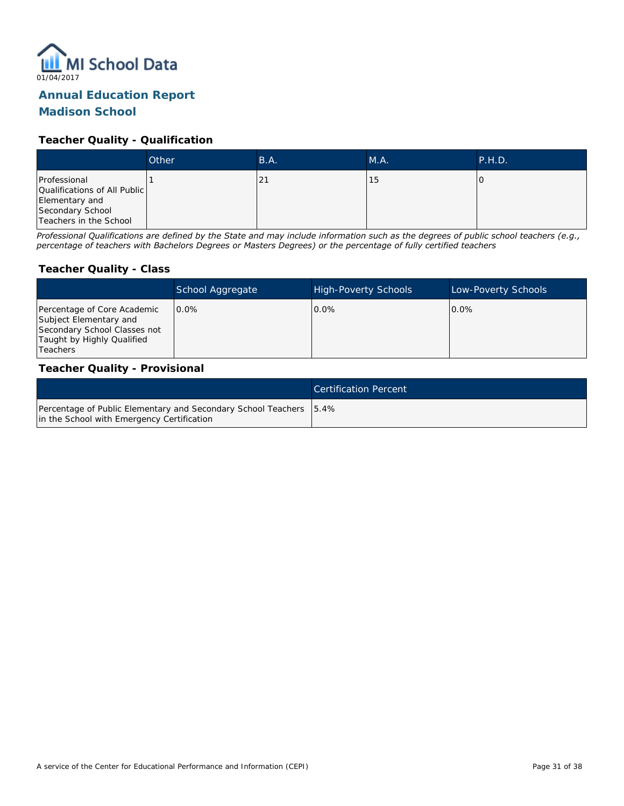

# **Annual Education Report**

## **Madison School**

#### **Teacher Quality - Qualification**

|                                                                                                              | Other | B.A. | M.A. | P.H.D. |
|--------------------------------------------------------------------------------------------------------------|-------|------|------|--------|
| Professional<br>Qualifications of All Public<br>Elementary and<br>Secondary School<br>Teachers in the School |       | 5.   | 15   |        |

*Professional Qualifications are defined by the State and may include information such as the degrees of public school teachers (e.g., percentage of teachers with Bachelors Degrees or Masters Degrees) or the percentage of fully certified teachers*

#### **Teacher Quality - Class**

|                                                                                                                                   | School Aggregate | <b>High-Poverty Schools</b> | Low-Poverty Schools |
|-----------------------------------------------------------------------------------------------------------------------------------|------------------|-----------------------------|---------------------|
| Percentage of Core Academic<br>Subject Elementary and<br>Secondary School Classes not<br>Taught by Highly Qualified<br>l Teachers | 0.0%             | 0.0%                        | $0.0\%$             |

#### **Teacher Quality - Provisional**

|                                                                                                                  | Certification Percent |
|------------------------------------------------------------------------------------------------------------------|-----------------------|
| Percentage of Public Elementary and Secondary School Teachers 5.4%<br>in the School with Emergency Certification |                       |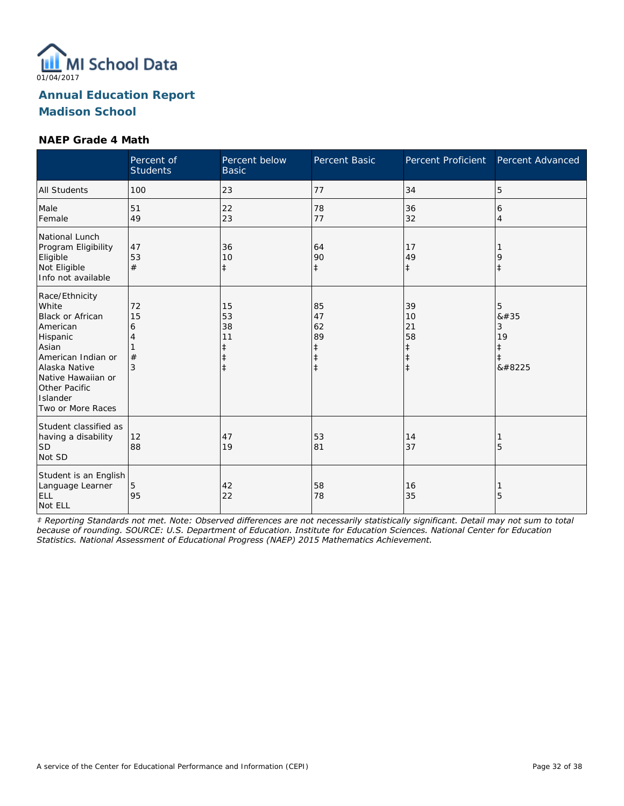

#### **NAEP Grade 4 Math**

|                                                                                                                                                                                                    | Percent of<br><b>Students</b> | Percent below<br><b>Basic</b>                         | Percent Basic                                                  | Percent Proficient                                             | Percent Advanced                    |
|----------------------------------------------------------------------------------------------------------------------------------------------------------------------------------------------------|-------------------------------|-------------------------------------------------------|----------------------------------------------------------------|----------------------------------------------------------------|-------------------------------------|
| <b>All Students</b>                                                                                                                                                                                | 100                           | 23                                                    | 77                                                             | 34                                                             | 5                                   |
| Male<br>Female                                                                                                                                                                                     | 51<br>49                      | 22<br>23                                              | 78<br>77                                                       | 36<br>32                                                       | 6<br>$\overline{4}$                 |
| National Lunch<br>Program Eligibility<br>Eligible<br>Not Eligible<br>Info not available                                                                                                            | 47<br>53<br>#                 | 36<br>10<br>$\ddagger$                                | 64<br>90<br>$\ddagger$                                         | 17<br>49<br>$\pm$                                              | 9<br>$\ddagger$                     |
| Race/Ethnicity<br>White<br><b>Black or African</b><br>American<br>Hispanic<br>Asian<br>American Indian or<br>Alaska Native<br>Native Hawaiian or<br>Other Pacific<br>Islander<br>Two or More Races | 72<br>15<br>6<br>4<br>#<br>3  | 15<br>53<br>38<br>11<br>$\ddagger$<br>ŧ<br>$\ddagger$ | 85<br>47<br>62<br>89<br>$\ddagger$<br>$\ddagger$<br>$\ddagger$ | 39<br>10<br>21<br>58<br>$\ddagger$<br>$\ddagger$<br>$\ddagger$ | 5<br>8#35<br>3<br>19<br>ŧ<br>ŧ<br>‡ |
| Student classified as<br>having a disability<br><b>SD</b><br>Not SD                                                                                                                                | 12<br>88                      | 47<br>19                                              | 53<br>81                                                       | 14<br>37                                                       | 5                                   |
| Student is an English<br>Language Learner<br>ELL<br>Not ELL                                                                                                                                        | 5<br>95                       | 42<br>22                                              | 58<br>78                                                       | 16<br>35                                                       | 5                                   |

*‡ Reporting Standards not met. Note: Observed differences are not necessarily statistically significant. Detail may not sum to total because of rounding. SOURCE: U.S. Department of Education. Institute for Education Sciences. National Center for Education Statistics. National Assessment of Educational Progress (NAEP) 2015 Mathematics Achievement.*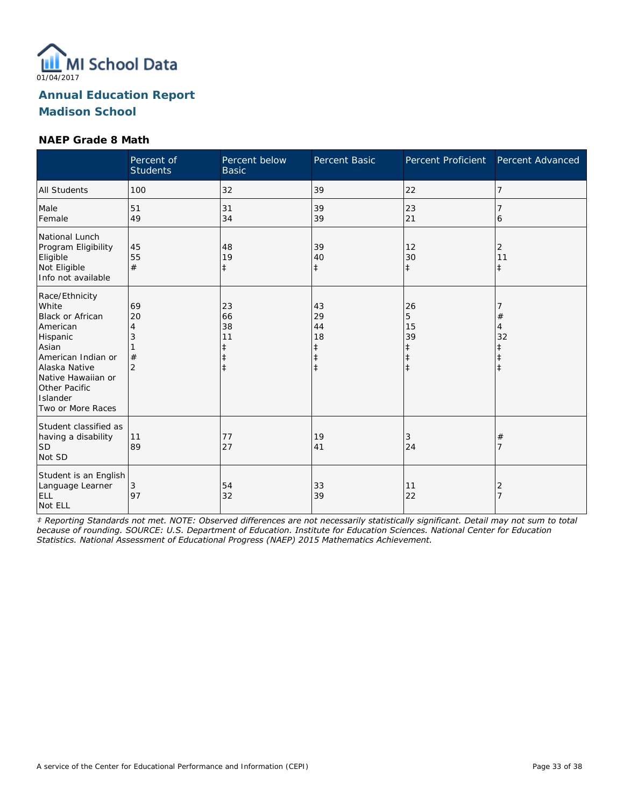

#### **NAEP Grade 8 Math**

|                                                                                                                                                                                             | Percent of<br><b>Students</b>             | Percent below<br><b>Basic</b>                         | Percent Basic                                                  | Percent Proficient                              | Percent Advanced        |
|---------------------------------------------------------------------------------------------------------------------------------------------------------------------------------------------|-------------------------------------------|-------------------------------------------------------|----------------------------------------------------------------|-------------------------------------------------|-------------------------|
| <b>All Students</b>                                                                                                                                                                         | 100                                       | 32                                                    | 39                                                             | 22                                              | 7                       |
| Male<br>Female                                                                                                                                                                              | 51<br>49                                  | 31<br>34                                              | 39<br>39                                                       | 23<br>21                                        | 6                       |
| National Lunch<br>Program Eligibility<br>Eligible<br>Not Eligible<br>Info not available                                                                                                     | 45<br>55<br>#                             | 48<br>19<br>$\ddagger$                                | 39<br>40<br>$\ddagger$                                         | 12<br>30<br>$\ddagger$                          | 2<br>11<br>$\pm$        |
| Race/Ethnicity<br>White<br>Black or African<br>American<br>Hispanic<br>Asian<br>American Indian or<br>Alaska Native<br>Native Hawaiian or<br>Other Pacific<br>Islander<br>Two or More Races | 69<br>20<br>4<br>3<br>#<br>$\overline{2}$ | 23<br>66<br>38<br>11<br>ŧ<br>$\ddagger$<br>$\ddagger$ | 43<br>29<br>44<br>18<br>$\ddagger$<br>$\ddagger$<br>$\ddagger$ | 26<br>5<br>15<br>39<br>$\ddagger$<br>$\ddagger$ | $^{\#}$<br>4<br>32<br>ŧ |
| Student classified as<br>having a disability<br><b>SD</b><br>Not SD                                                                                                                         | 11<br>89                                  | 77<br>27                                              | 19<br>41                                                       | 3<br>24                                         | #                       |
| Student is an English<br>Language Learner<br>ELL<br>Not ELL                                                                                                                                 | 3<br>97                                   | 54<br>32                                              | 33<br>39                                                       | 11<br>22                                        | 2<br>$\overline{7}$     |

*‡ Reporting Standards not met. NOTE: Observed differences are not necessarily statistically significant. Detail may not sum to total because of rounding. SOURCE: U.S. Department of Education. Institute for Education Sciences. National Center for Education Statistics. National Assessment of Educational Progress (NAEP) 2015 Mathematics Achievement.*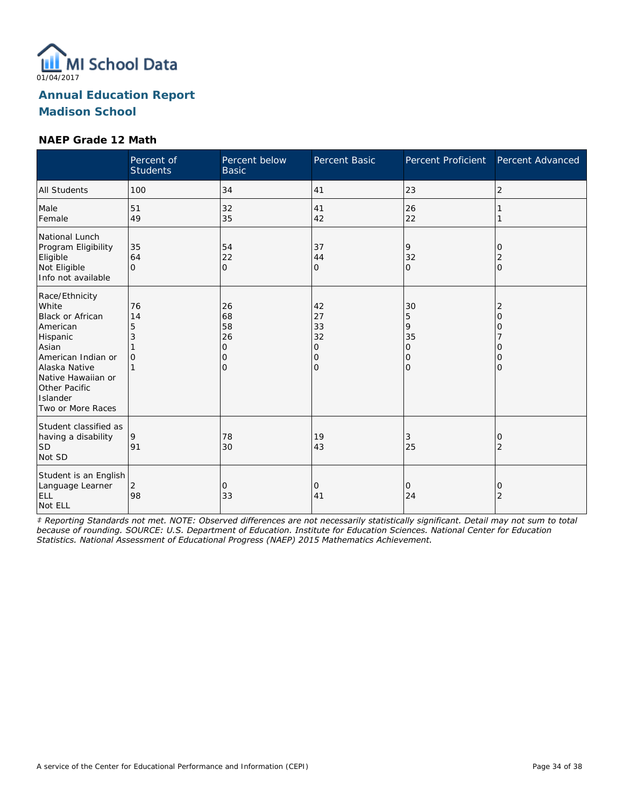

#### **NAEP Grade 12 Math**

|                                                                                                                                                                                                    | Percent of<br><b>Students</b>  | Percent below<br><b>Basic</b>                                  | Percent Basic                       | Percent Proficient                                                | Percent Advanced      |
|----------------------------------------------------------------------------------------------------------------------------------------------------------------------------------------------------|--------------------------------|----------------------------------------------------------------|-------------------------------------|-------------------------------------------------------------------|-----------------------|
| <b>All Students</b>                                                                                                                                                                                | 100                            | 34                                                             | 41                                  | 23                                                                | 2                     |
| Male<br>Female                                                                                                                                                                                     | 51<br>49                       | 32<br>35                                                       | 41<br>42                            | 26<br>22                                                          |                       |
| National Lunch<br>Program Eligibility<br>Eligible<br>Not Eligible<br>Info not available                                                                                                            | 35<br>64<br>$\Omega$           | 54<br>22<br>$\mathbf{O}$                                       | 37<br>44<br>0                       | 9<br>32<br>$\Omega$                                               | 0<br>2<br>$\Omega$    |
| Race/Ethnicity<br>White<br><b>Black or African</b><br>American<br>Hispanic<br>Asian<br>American Indian or<br>Alaska Native<br>Native Hawaiian or<br>Other Pacific<br>Islander<br>Two or More Races | 76<br>14<br>5<br>3<br>$\Omega$ | 26<br>68<br>58<br>26<br>$\mathbf{O}$<br>$\mathbf 0$<br>$\circ$ | 42<br>27<br>33<br>32<br>0<br>O<br>O | 30<br>5<br>9<br>35<br>$\circ$<br>$\overline{O}$<br>$\overline{O}$ | 2<br>Ω<br>Ω<br>Ω<br>Ω |
| Student classified as<br>having a disability<br><b>SD</b><br>Not SD                                                                                                                                | 9<br>91                        | 78<br>30                                                       | 19<br>43                            | 3<br>25                                                           | O<br>2                |
| Student is an English<br>Language Learner<br>ELL<br>Not ELL                                                                                                                                        | 2<br>98                        | 0<br>33                                                        | 0<br>41                             | 0<br>24                                                           | 0<br>$\overline{2}$   |

*‡ Reporting Standards not met. NOTE: Observed differences are not necessarily statistically significant. Detail may not sum to total because of rounding. SOURCE: U.S. Department of Education. Institute for Education Sciences. National Center for Education Statistics. National Assessment of Educational Progress (NAEP) 2015 Mathematics Achievement.*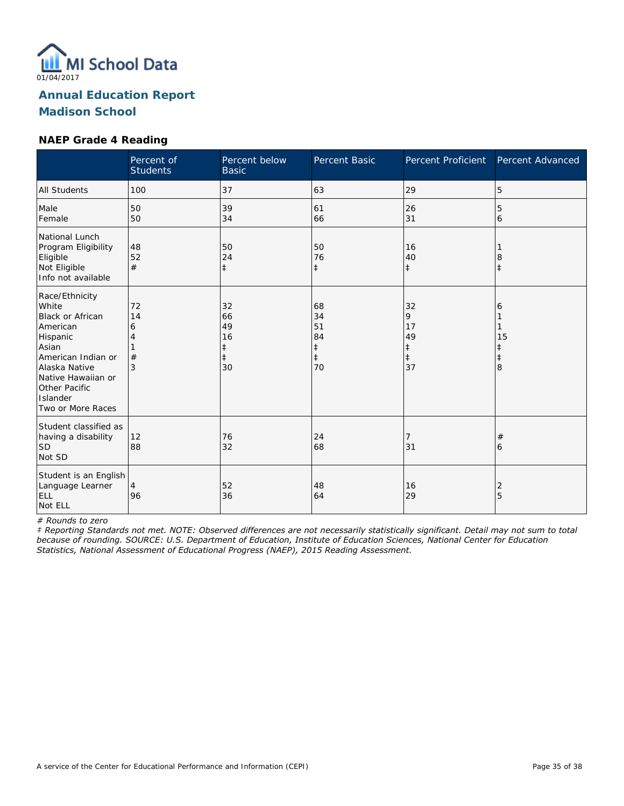

#### **NAEP Grade 4 Reading**

|                                                                                                                                                                                                    | Percent of<br><b>Students</b> | Percent below<br><b>Basic</b>                 | Percent Basic                                          | Percent Proficient                           | Percent Advanced  |
|----------------------------------------------------------------------------------------------------------------------------------------------------------------------------------------------------|-------------------------------|-----------------------------------------------|--------------------------------------------------------|----------------------------------------------|-------------------|
| <b>All Students</b>                                                                                                                                                                                | 100                           | 37                                            | 63                                                     | 29                                           | 5                 |
| Male<br>Female                                                                                                                                                                                     | 50<br>50                      | 39<br>34                                      | 61<br>66                                               | 26<br>31                                     | 5<br>6            |
| National Lunch<br>Program Eligibility<br>Eligible<br>Not Eligible<br>Info not available                                                                                                            | 48<br>52<br>#                 | 50<br>24<br>$\ddagger$                        | 50<br>76<br>$\ddagger$                                 | 16<br>40<br>$\ddagger$                       | 8<br>$\ddagger$   |
| Race/Ethnicity<br>White<br><b>Black or African</b><br>American<br>Hispanic<br>Asian<br>American Indian or<br>Alaska Native<br>Native Hawaiian or<br>Other Pacific<br>Islander<br>Two or More Races | 72<br>14<br>6<br>#<br>3       | 32<br>66<br>49<br>16<br>ŧ<br>$\ddagger$<br>30 | 68<br>34<br>51<br>84<br>$\ddagger$<br>$\ddagger$<br>70 | 32<br>9<br>17<br>49<br>‡<br>$\ddagger$<br>37 | 6<br>15<br>ŧ<br>8 |
| Student classified as<br>having a disability<br><b>SD</b><br>Not SD                                                                                                                                | 12<br>88                      | 76<br>32                                      | 24<br>68                                               | 7<br>31                                      | #<br>6            |
| Student is an English<br>Language Learner<br>ELL<br>Not ELL                                                                                                                                        | $\overline{4}$<br>96          | 52<br>36                                      | 48<br>64                                               | 16<br>29                                     | 2<br>5            |

*# Rounds to zero*

*‡ Reporting Standards not met. NOTE: Observed differences are not necessarily statistically significant. Detail may not sum to total because of rounding. SOURCE: U.S. Department of Education, Institute of Education Sciences, National Center for Education Statistics, National Assessment of Educational Progress (NAEP), 2015 Reading Assessment.*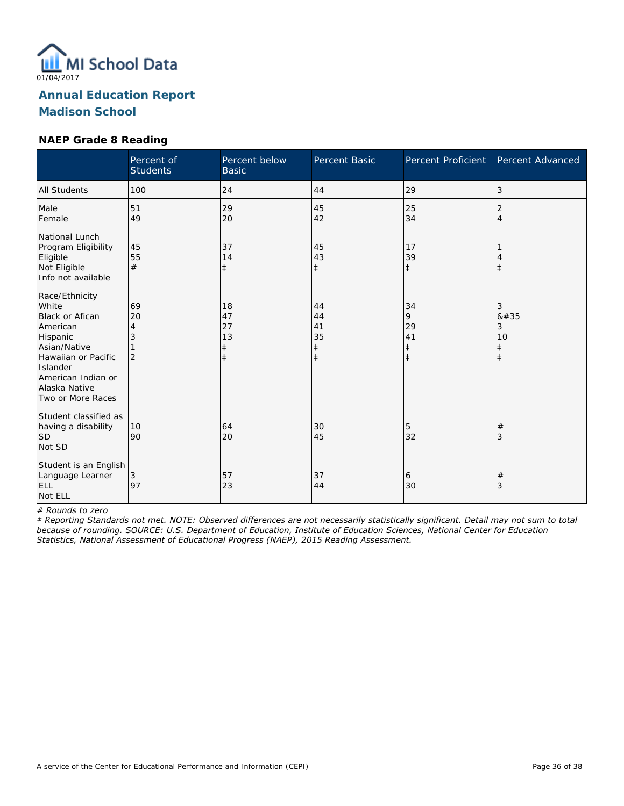

#### **NAEP Grade 8 Reading**

|                                                                                                                                                                                   | Percent of<br><b>Students</b>        | Percent below<br><b>Basic</b>           | Percent Basic                                    | <b>Percent Proficient</b>                       | Percent Advanced                              |
|-----------------------------------------------------------------------------------------------------------------------------------------------------------------------------------|--------------------------------------|-----------------------------------------|--------------------------------------------------|-------------------------------------------------|-----------------------------------------------|
| <b>All Students</b>                                                                                                                                                               | 100                                  | 24                                      | 44                                               | 29                                              | 3                                             |
| Male<br>Female                                                                                                                                                                    | 51<br>49                             | 29<br>20                                | 45<br>42                                         | 25<br>34                                        | 2<br>4                                        |
| National Lunch<br>Program Eligibility<br>Eligible<br>Not Eligible<br>Info not available                                                                                           | 45<br>55<br>#                        | 37<br>14<br>$\ddagger$                  | 45<br>43<br>$\ddagger$                           | 17<br>39<br>$\ddagger$                          | Î                                             |
| Race/Ethnicity<br>White<br>Black or Afican<br>American<br>Hispanic<br>Asian/Native<br>Hawaiian or Pacific<br>Islander<br>American Indian or<br>Alaska Native<br>Two or More Races | 69<br>20<br>4<br>3<br>$\overline{2}$ | 18<br>47<br>27<br>13<br>‡<br>$\ddagger$ | 44<br>44<br>41<br>35<br>$\ddagger$<br>$\ddagger$ | 34<br>9<br>29<br>41<br>$\ddagger$<br>$\ddagger$ | 3<br>#<br>3<br>10<br>$\ddagger$<br>$\ddagger$ |
| Student classified as<br>having a disability<br>lsd<br>Not SD                                                                                                                     | 10<br>90                             | 64<br>20                                | 30<br>45                                         | 5<br>32                                         | #<br>3                                        |
| Student is an English<br>Language Learner<br>ELL<br>Not ELL                                                                                                                       | 3<br>97                              | 57<br>23                                | 37<br>44                                         | 6<br>30                                         | $^{\#}$<br>3                                  |

*# Rounds to zero*

*‡ Reporting Standards not met. NOTE: Observed differences are not necessarily statistically significant. Detail may not sum to total because of rounding. SOURCE: U.S. Department of Education, Institute of Education Sciences, National Center for Education Statistics, National Assessment of Educational Progress (NAEP), 2015 Reading Assessment.*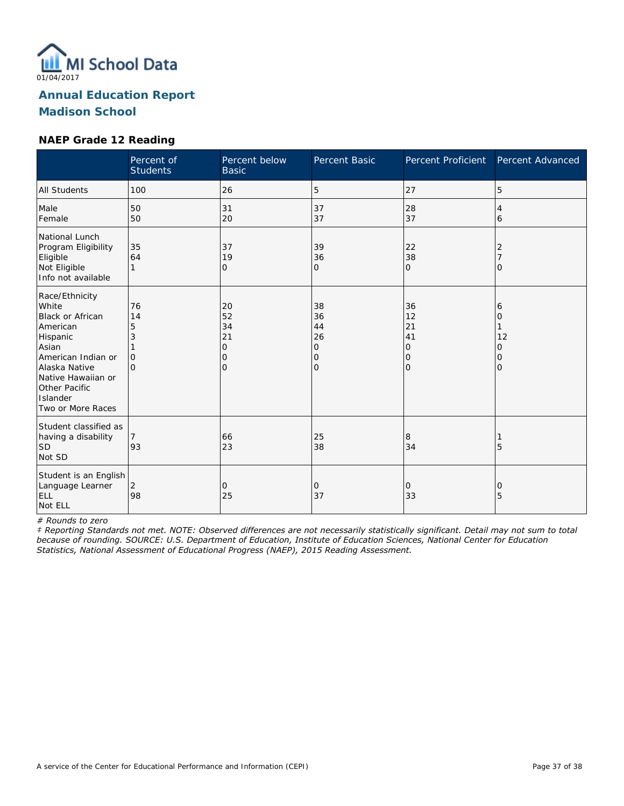

#### **NAEP Grade 12 Reading**

|                                                                                                                                                                                                    | Percent of<br><b>Students</b>                  | Percent below<br><b>Basic</b>                        | Percent Basic                                    | <b>Percent Proficient</b>                        | Percent Advanced                   |
|----------------------------------------------------------------------------------------------------------------------------------------------------------------------------------------------------|------------------------------------------------|------------------------------------------------------|--------------------------------------------------|--------------------------------------------------|------------------------------------|
| <b>All Students</b>                                                                                                                                                                                | 100                                            | 26                                                   | 5                                                | 27                                               | 5                                  |
| Male<br>Female                                                                                                                                                                                     | 50<br>50                                       | 31<br>20                                             | 37<br>37                                         | 28<br>37                                         | 4<br>6                             |
| National Lunch<br>Program Eligibility<br>Eligible<br>Not Eligible<br>Info not available                                                                                                            | 35<br>64<br>1                                  | 37<br>19<br>0                                        | 39<br>36<br>0                                    | 22<br>38<br>$\mathbf 0$                          | 2<br>Ω                             |
| Race/Ethnicity<br>White<br><b>Black or African</b><br>American<br>Hispanic<br>Asian<br>American Indian or<br>Alaska Native<br>Native Hawaiian or<br>Other Pacific<br>Islander<br>Two or More Races | 76<br>14<br>5<br>3<br>$\mathbf{O}$<br>$\Omega$ | 20<br>52<br>34<br>21<br>$\mathbf{O}$<br>0<br>$\circ$ | 38<br>36<br>44<br>26<br>0<br>0<br>$\overline{O}$ | 36<br>12<br>21<br>41<br>0<br>0<br>$\overline{0}$ | 6<br>Ω<br>12<br>0<br>0<br>$\Omega$ |
| Student classified as<br>having a disability<br><b>SD</b><br>Not SD                                                                                                                                | 93                                             | 66<br>23                                             | 25<br>38                                         | 8<br>34                                          | 5                                  |
| Student is an English<br>Language Learner<br>ELL<br>Not ELL                                                                                                                                        | 2<br>98                                        | 0<br>25                                              | 0<br>37                                          | 0<br>33                                          | 0<br>5                             |

*# Rounds to zero*

*‡ Reporting Standards not met. NOTE: Observed differences are not necessarily statistically significant. Detail may not sum to total because of rounding. SOURCE: U.S. Department of Education, Institute of Education Sciences, National Center for Education Statistics, National Assessment of Educational Progress (NAEP), 2015 Reading Assessment.*